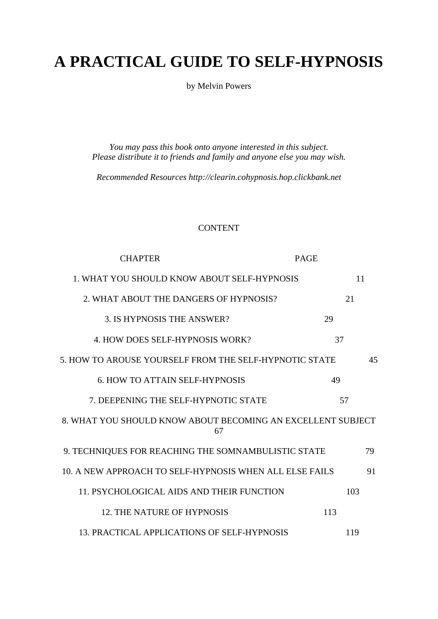# **A PRACTICAL GUIDE TO SELF-HYPNOSIS**

by Melvin Powers

*You may pass this book onto anyone interested in this subject. Please distribute it to friends and family and anyone else you may wish.* 

*Recommended Resources http://clearin.cohypnosis.hop.clickbank.net* 

## CONTENT

| <b>CHAPTER</b>                                                    | <b>PAGE</b> |
|-------------------------------------------------------------------|-------------|
| 1. WHAT YOU SHOULD KNOW ABOUT SELF-HYPNOSIS                       | 11          |
| 2. WHAT ABOUT THE DANGERS OF HYPNOSIS?                            | 21          |
| 3. IS HYPNOSIS THE ANSWER?                                        | 29          |
| 4. HOW DOES SELF-HYPNOSIS WORK?                                   | 37          |
| 5. HOW TO AROUSE YOURSELF FROM THE SELF-HYPNOTIC STATE<br>45      |             |
| <b>6. HOW TO ATTAIN SELF-HYPNOSIS</b>                             | 49          |
| 7. DEEPENING THE SELF-HYPNOTIC STATE                              | 57          |
| 8. WHAT YOU SHOULD KNOW ABOUT BECOMING AN EXCELLENT SUBJECT<br>67 |             |
| 9. TECHNIQUES FOR REACHING THE SOMNAMBULISTIC STATE               | 79          |
| 10. A NEW APPROACH TO SELF-HYPNOSIS WHEN ALL ELSE FAILS           | 91          |
| 11. PSYCHOLOGICAL AIDS AND THEIR FUNCTION                         | 103         |
| 12. THE NATURE OF HYPNOSIS                                        | 113         |
| 13. PRACTICAL APPLICATIONS OF SELF-HYPNOSIS                       | 119         |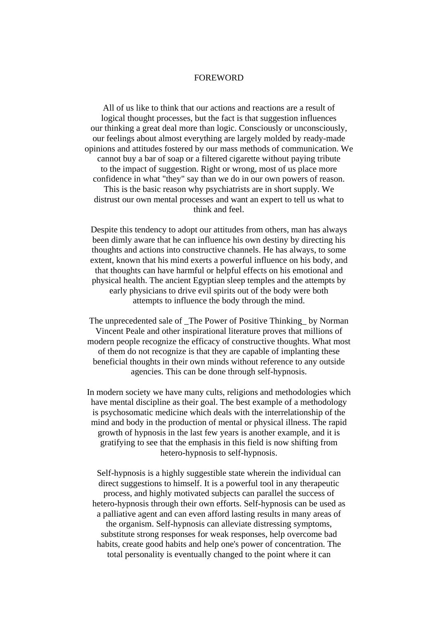#### FOREWORD

All of us like to think that our actions and reactions are a result of logical thought processes, but the fact is that suggestion influences our thinking a great deal more than logic. Consciously or unconsciously, our feelings about almost everything are largely molded by ready-made opinions and attitudes fostered by our mass methods of communication. We cannot buy a bar of soap or a filtered cigarette without paying tribute to the impact of suggestion. Right or wrong, most of us place more confidence in what "they" say than we do in our own powers of reason. This is the basic reason why psychiatrists are in short supply. We distrust our own mental processes and want an expert to tell us what to think and feel.

Despite this tendency to adopt our attitudes from others, man has always been dimly aware that he can influence his own destiny by directing his thoughts and actions into constructive channels. He has always, to some extent, known that his mind exerts a powerful influence on his body, and that thoughts can have harmful or helpful effects on his emotional and physical health. The ancient Egyptian sleep temples and the attempts by early physicians to drive evil spirits out of the body were both attempts to influence the body through the mind.

The unprecedented sale of The Power of Positive Thinking by Norman Vincent Peale and other inspirational literature proves that millions of modern people recognize the efficacy of constructive thoughts. What most of them do not recognize is that they are capable of implanting these beneficial thoughts in their own minds without reference to any outside agencies. This can be done through self-hypnosis.

In modern society we have many cults, religions and methodologies which have mental discipline as their goal. The best example of a methodology is psychosomatic medicine which deals with the interrelationship of the mind and body in the production of mental or physical illness. The rapid growth of hypnosis in the last few years is another example, and it is gratifying to see that the emphasis in this field is now shifting from hetero-hypnosis to self-hypnosis.

Self-hypnosis is a highly suggestible state wherein the individual can direct suggestions to himself. It is a powerful tool in any therapeutic process, and highly motivated subjects can parallel the success of hetero-hypnosis through their own efforts. Self-hypnosis can be used as a palliative agent and can even afford lasting results in many areas of the organism. Self-hypnosis can alleviate distressing symptoms, substitute strong responses for weak responses, help overcome bad habits, create good habits and help one's power of concentration. The total personality is eventually changed to the point where it can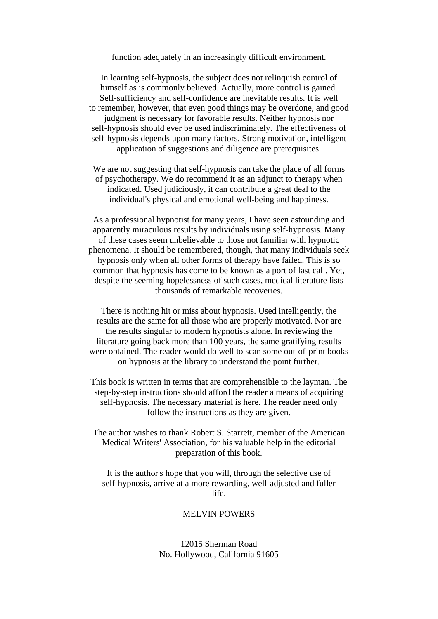function adequately in an increasingly difficult environment.

In learning self-hypnosis, the subject does not relinquish control of himself as is commonly believed. Actually, more control is gained. Self-sufficiency and self-confidence are inevitable results. It is well to remember, however, that even good things may be overdone, and good judgment is necessary for favorable results. Neither hypnosis nor self-hypnosis should ever be used indiscriminately. The effectiveness of self-hypnosis depends upon many factors. Strong motivation, intelligent application of suggestions and diligence are prerequisites.

We are not suggesting that self-hypnosis can take the place of all forms of psychotherapy. We do recommend it as an adjunct to therapy when indicated. Used judiciously, it can contribute a great deal to the individual's physical and emotional well-being and happiness.

As a professional hypnotist for many years, I have seen astounding and apparently miraculous results by individuals using self-hypnosis. Many of these cases seem unbelievable to those not familiar with hypnotic phenomena. It should be remembered, though, that many individuals seek hypnosis only when all other forms of therapy have failed. This is so common that hypnosis has come to be known as a port of last call. Yet, despite the seeming hopelessness of such cases, medical literature lists thousands of remarkable recoveries.

There is nothing hit or miss about hypnosis. Used intelligently, the results are the same for all those who are properly motivated. Nor are the results singular to modern hypnotists alone. In reviewing the literature going back more than 100 years, the same gratifying results were obtained. The reader would do well to scan some out-of-print books on hypnosis at the library to understand the point further.

This book is written in terms that are comprehensible to the layman. The step-by-step instructions should afford the reader a means of acquiring self-hypnosis. The necessary material is here. The reader need only follow the instructions as they are given.

The author wishes to thank Robert S. Starrett, member of the American Medical Writers' Association, for his valuable help in the editorial preparation of this book.

It is the author's hope that you will, through the selective use of self-hypnosis, arrive at a more rewarding, well-adjusted and fuller life.

#### MELVIN POWERS

12015 Sherman Road No. Hollywood, California 91605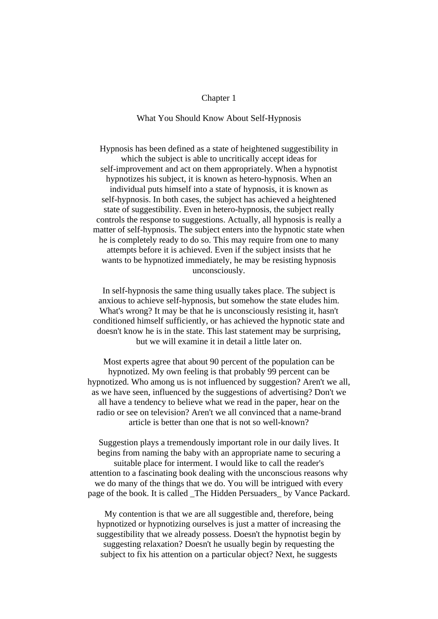#### Chapter 1

## What You Should Know About Self-Hypnosis

Hypnosis has been defined as a state of heightened suggestibility in which the subject is able to uncritically accept ideas for self-improvement and act on them appropriately. When a hypnotist hypnotizes his subject, it is known as hetero-hypnosis. When an individual puts himself into a state of hypnosis, it is known as self-hypnosis. In both cases, the subject has achieved a heightened state of suggestibility. Even in hetero-hypnosis, the subject really controls the response to suggestions. Actually, all hypnosis is really a matter of self-hypnosis. The subject enters into the hypnotic state when he is completely ready to do so. This may require from one to many attempts before it is achieved. Even if the subject insists that he wants to be hypnotized immediately, he may be resisting hypnosis unconsciously.

In self-hypnosis the same thing usually takes place. The subject is anxious to achieve self-hypnosis, but somehow the state eludes him. What's wrong? It may be that he is unconsciously resisting it, hasn't conditioned himself sufficiently, or has achieved the hypnotic state and doesn't know he is in the state. This last statement may be surprising, but we will examine it in detail a little later on.

Most experts agree that about 90 percent of the population can be hypnotized. My own feeling is that probably 99 percent can be hypnotized. Who among us is not influenced by suggestion? Aren't we all, as we have seen, influenced by the suggestions of advertising? Don't we all have a tendency to believe what we read in the paper, hear on the radio or see on television? Aren't we all convinced that a name-brand article is better than one that is not so well-known?

Suggestion plays a tremendously important role in our daily lives. It begins from naming the baby with an appropriate name to securing a suitable place for interment. I would like to call the reader's attention to a fascinating book dealing with the unconscious reasons why we do many of the things that we do. You will be intrigued with every page of the book. It is called \_The Hidden Persuaders\_ by Vance Packard.

My contention is that we are all suggestible and, therefore, being hypnotized or hypnotizing ourselves is just a matter of increasing the suggestibility that we already possess. Doesn't the hypnotist begin by suggesting relaxation? Doesn't he usually begin by requesting the subject to fix his attention on a particular object? Next, he suggests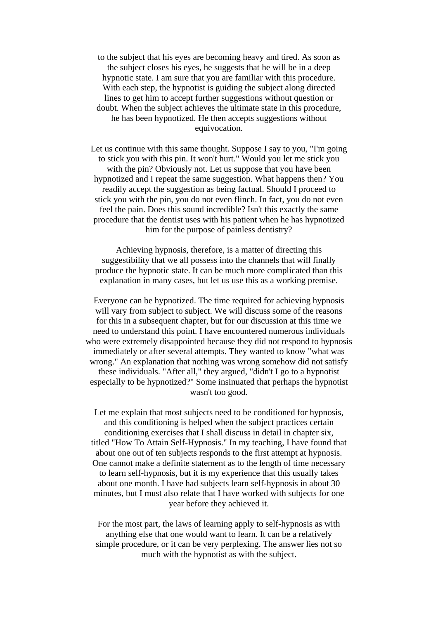to the subject that his eyes are becoming heavy and tired. As soon as the subject closes his eyes, he suggests that he will be in a deep hypnotic state. I am sure that you are familiar with this procedure. With each step, the hypnotist is guiding the subject along directed lines to get him to accept further suggestions without question or doubt. When the subject achieves the ultimate state in this procedure, he has been hypnotized. He then accepts suggestions without equivocation.

Let us continue with this same thought. Suppose I say to you, "I'm going to stick you with this pin. It won't hurt." Would you let me stick you with the pin? Obviously not. Let us suppose that you have been hypnotized and I repeat the same suggestion. What happens then? You readily accept the suggestion as being factual. Should I proceed to stick you with the pin, you do not even flinch. In fact, you do not even feel the pain. Does this sound incredible? Isn't this exactly the same procedure that the dentist uses with his patient when he has hypnotized him for the purpose of painless dentistry?

Achieving hypnosis, therefore, is a matter of directing this suggestibility that we all possess into the channels that will finally produce the hypnotic state. It can be much more complicated than this explanation in many cases, but let us use this as a working premise.

Everyone can be hypnotized. The time required for achieving hypnosis will vary from subject to subject. We will discuss some of the reasons for this in a subsequent chapter, but for our discussion at this time we need to understand this point. I have encountered numerous individuals who were extremely disappointed because they did not respond to hypnosis immediately or after several attempts. They wanted to know "what was wrong." An explanation that nothing was wrong somehow did not satisfy these individuals. "After all," they argued, "didn't I go to a hypnotist especially to be hypnotized?" Some insinuated that perhaps the hypnotist wasn't too good.

Let me explain that most subjects need to be conditioned for hypnosis, and this conditioning is helped when the subject practices certain conditioning exercises that I shall discuss in detail in chapter six, titled "How To Attain Self-Hypnosis." In my teaching, I have found that about one out of ten subjects responds to the first attempt at hypnosis. One cannot make a definite statement as to the length of time necessary to learn self-hypnosis, but it is my experience that this usually takes about one month. I have had subjects learn self-hypnosis in about 30 minutes, but I must also relate that I have worked with subjects for one year before they achieved it.

For the most part, the laws of learning apply to self-hypnosis as with anything else that one would want to learn. It can be a relatively simple procedure, or it can be very perplexing. The answer lies not so much with the hypnotist as with the subject.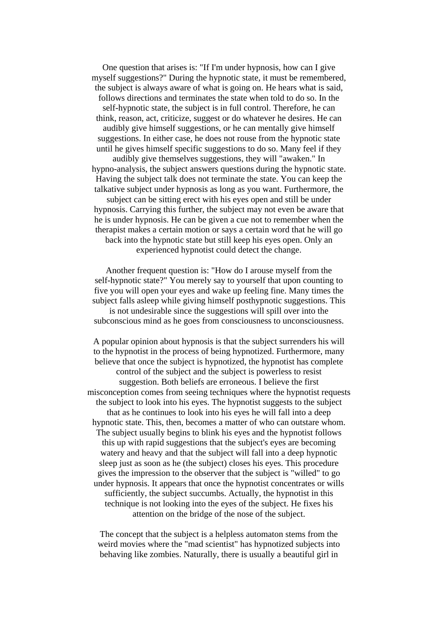One question that arises is: "If I'm under hypnosis, how can I give myself suggestions?" During the hypnotic state, it must be remembered, the subject is always aware of what is going on. He hears what is said, follows directions and terminates the state when told to do so. In the self-hypnotic state, the subject is in full control. Therefore, he can think, reason, act, criticize, suggest or do whatever he desires. He can audibly give himself suggestions, or he can mentally give himself suggestions. In either case, he does not rouse from the hypnotic state until he gives himself specific suggestions to do so. Many feel if they audibly give themselves suggestions, they will "awaken." In hypno-analysis, the subject answers questions during the hypnotic state. Having the subject talk does not terminate the state. You can keep the talkative subject under hypnosis as long as you want. Furthermore, the subject can be sitting erect with his eyes open and still be under hypnosis. Carrying this further, the subject may not even be aware that he is under hypnosis. He can be given a cue not to remember when the therapist makes a certain motion or says a certain word that he will go back into the hypnotic state but still keep his eyes open. Only an experienced hypnotist could detect the change.

Another frequent question is: "How do I arouse myself from the self-hypnotic state?" You merely say to yourself that upon counting to five you will open your eyes and wake up feeling fine. Many times the subject falls asleep while giving himself posthypnotic suggestions. This is not undesirable since the suggestions will spill over into the subconscious mind as he goes from consciousness to unconsciousness.

A popular opinion about hypnosis is that the subject surrenders his will to the hypnotist in the process of being hypnotized. Furthermore, many believe that once the subject is hypnotized, the hypnotist has complete control of the subject and the subject is powerless to resist suggestion. Both beliefs are erroneous. I believe the first misconception comes from seeing techniques where the hypnotist requests the subject to look into his eyes. The hypnotist suggests to the subject that as he continues to look into his eyes he will fall into a deep hypnotic state. This, then, becomes a matter of who can outstare whom. The subject usually begins to blink his eyes and the hypnotist follows this up with rapid suggestions that the subject's eyes are becoming watery and heavy and that the subject will fall into a deep hypnotic sleep just as soon as he (the subject) closes his eyes. This procedure gives the impression to the observer that the subject is "willed" to go under hypnosis. It appears that once the hypnotist concentrates or wills sufficiently, the subject succumbs. Actually, the hypnotist in this technique is not looking into the eyes of the subject. He fixes his attention on the bridge of the nose of the subject.

The concept that the subject is a helpless automaton stems from the weird movies where the "mad scientist" has hypnotized subjects into behaving like zombies. Naturally, there is usually a beautiful girl in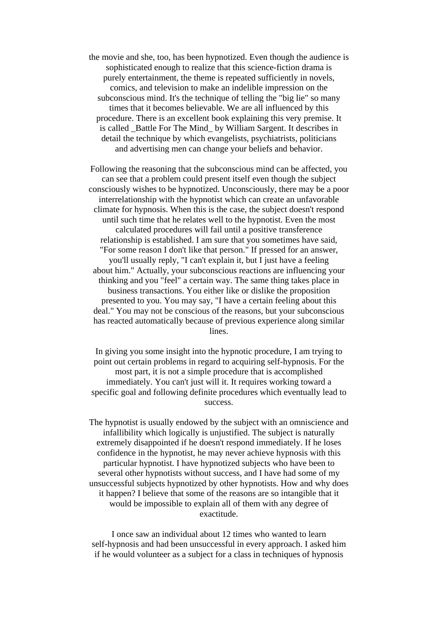the movie and she, too, has been hypnotized. Even though the audience is sophisticated enough to realize that this science-fiction drama is purely entertainment, the theme is repeated sufficiently in novels, comics, and television to make an indelible impression on the subconscious mind. It's the technique of telling the "big lie" so many times that it becomes believable. We are all influenced by this procedure. There is an excellent book explaining this very premise. It is called \_Battle For The Mind\_ by William Sargent. It describes in detail the technique by which evangelists, psychiatrists, politicians and advertising men can change your beliefs and behavior.

Following the reasoning that the subconscious mind can be affected, you can see that a problem could present itself even though the subject consciously wishes to be hypnotized. Unconsciously, there may be a poor interrelationship with the hypnotist which can create an unfavorable climate for hypnosis. When this is the case, the subject doesn't respond until such time that he relates well to the hypnotist. Even the most calculated procedures will fail until a positive transference relationship is established. I am sure that you sometimes have said, "For some reason I don't like that person." If pressed for an answer, you'll usually reply, "I can't explain it, but I just have a feeling about him." Actually, your subconscious reactions are influencing your thinking and you "feel" a certain way. The same thing takes place in business transactions. You either like or dislike the proposition presented to you. You may say, "I have a certain feeling about this deal." You may not be conscious of the reasons, but your subconscious has reacted automatically because of previous experience along similar lines.

In giving you some insight into the hypnotic procedure, I am trying to point out certain problems in regard to acquiring self-hypnosis. For the most part, it is not a simple procedure that is accomplished immediately. You can't just will it. It requires working toward a specific goal and following definite procedures which eventually lead to success.

The hypnotist is usually endowed by the subject with an omniscience and infallibility which logically is unjustified. The subject is naturally extremely disappointed if he doesn't respond immediately. If he loses confidence in the hypnotist, he may never achieve hypnosis with this particular hypnotist. I have hypnotized subjects who have been to several other hypnotists without success, and I have had some of my unsuccessful subjects hypnotized by other hypnotists. How and why does it happen? I believe that some of the reasons are so intangible that it would be impossible to explain all of them with any degree of exactitude.

I once saw an individual about 12 times who wanted to learn self-hypnosis and had been unsuccessful in every approach. I asked him if he would volunteer as a subject for a class in techniques of hypnosis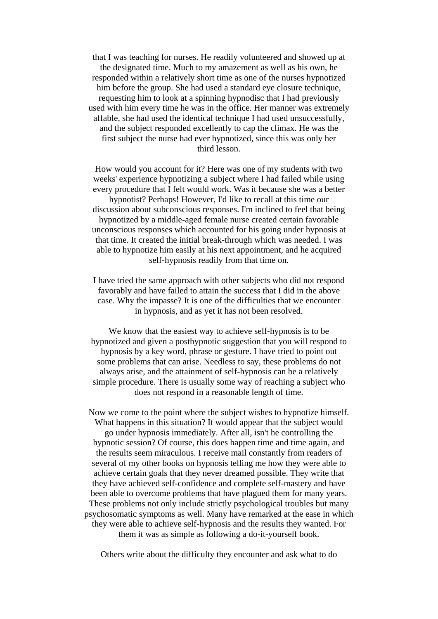that I was teaching for nurses. He readily volunteered and showed up at the designated time. Much to my amazement as well as his own, he responded within a relatively short time as one of the nurses hypnotized him before the group. She had used a standard eye closure technique, requesting him to look at a spinning hypnodisc that I had previously used with him every time he was in the office. Her manner was extremely affable, she had used the identical technique I had used unsuccessfully, and the subject responded excellently to cap the climax. He was the first subject the nurse had ever hypnotized, since this was only her third lesson.

How would you account for it? Here was one of my students with two weeks' experience hypnotizing a subject where I had failed while using every procedure that I felt would work. Was it because she was a better hypnotist? Perhaps! However, I'd like to recall at this time our discussion about subconscious responses. I'm inclined to feel that being hypnotized by a middle-aged female nurse created certain favorable unconscious responses which accounted for his going under hypnosis at that time. It created the initial break-through which was needed. I was able to hypnotize him easily at his next appointment, and he acquired self-hypnosis readily from that time on.

I have tried the same approach with other subjects who did not respond favorably and have failed to attain the success that I did in the above case. Why the impasse? It is one of the difficulties that we encounter in hypnosis, and as yet it has not been resolved.

We know that the easiest way to achieve self-hypnosis is to be hypnotized and given a posthypnotic suggestion that you will respond to hypnosis by a key word, phrase or gesture. I have tried to point out some problems that can arise. Needless to say, these problems do not always arise, and the attainment of self-hypnosis can be a relatively simple procedure. There is usually some way of reaching a subject who does not respond in a reasonable length of time.

Now we come to the point where the subject wishes to hypnotize himself. What happens in this situation? It would appear that the subject would go under hypnosis immediately. After all, isn't he controlling the hypnotic session? Of course, this does happen time and time again, and the results seem miraculous. I receive mail constantly from readers of several of my other books on hypnosis telling me how they were able to achieve certain goals that they never dreamed possible. They write that they have achieved self-confidence and complete self-mastery and have been able to overcome problems that have plagued them for many years. These problems not only include strictly psychological troubles but many psychosomatic symptoms as well. Many have remarked at the ease in which they were able to achieve self-hypnosis and the results they wanted. For them it was as simple as following a do-it-yourself book.

Others write about the difficulty they encounter and ask what to do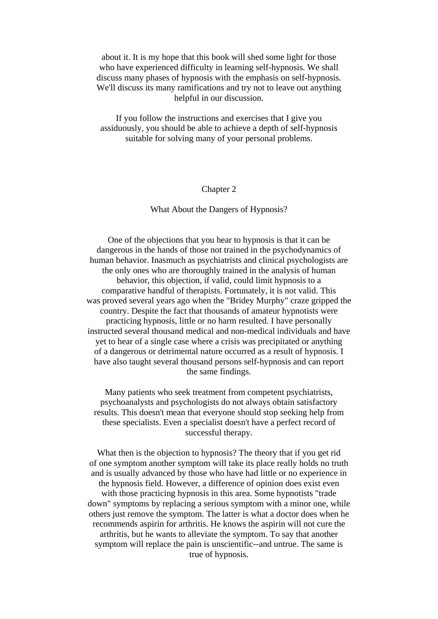about it. It is my hope that this book will shed some light for those who have experienced difficulty in learning self-hypnosis. We shall discuss many phases of hypnosis with the emphasis on self-hypnosis. We'll discuss its many ramifications and try not to leave out anything helpful in our discussion.

If you follow the instructions and exercises that I give you assiduously, you should be able to achieve a depth of self-hypnosis suitable for solving many of your personal problems.

## Chapter 2

#### What About the Dangers of Hypnosis?

One of the objections that you hear to hypnosis is that it can be dangerous in the hands of those not trained in the psychodynamics of human behavior. Inasmuch as psychiatrists and clinical psychologists are the only ones who are thoroughly trained in the analysis of human behavior, this objection, if valid, could limit hypnosis to a comparative handful of therapists. Fortunately, it is not valid. This was proved several years ago when the "Bridey Murphy" craze gripped the country. Despite the fact that thousands of amateur hypnotists were practicing hypnosis, little or no harm resulted. I have personally instructed several thousand medical and non-medical individuals and have yet to hear of a single case where a crisis was precipitated or anything of a dangerous or detrimental nature occurred as a result of hypnosis. I have also taught several thousand persons self-hypnosis and can report the same findings.

Many patients who seek treatment from competent psychiatrists, psychoanalysts and psychologists do not always obtain satisfactory results. This doesn't mean that everyone should stop seeking help from these specialists. Even a specialist doesn't have a perfect record of successful therapy.

What then is the objection to hypnosis? The theory that if you get rid of one symptom another symptom will take its place really holds no truth and is usually advanced by those who have had little or no experience in the hypnosis field. However, a difference of opinion does exist even with those practicing hypnosis in this area. Some hypnotists "trade down" symptoms by replacing a serious symptom with a minor one, while others just remove the symptom. The latter is what a doctor does when he recommends aspirin for arthritis. He knows the aspirin will not cure the arthritis, but he wants to alleviate the symptom. To say that another symptom will replace the pain is unscientific--and untrue. The same is true of hypnosis.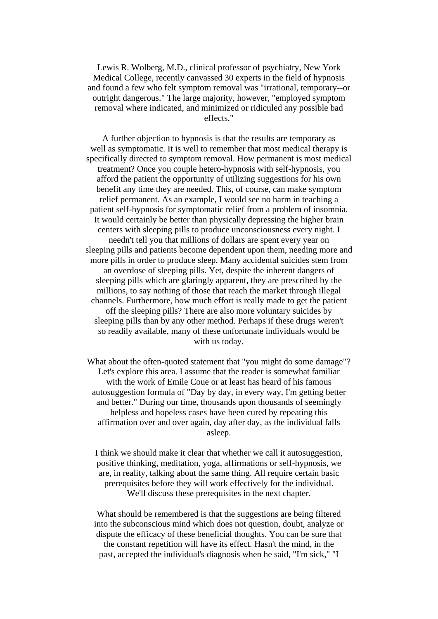Lewis R. Wolberg, M.D., clinical professor of psychiatry, New York Medical College, recently canvassed 30 experts in the field of hypnosis and found a few who felt symptom removal was "irrational, temporary--or outright dangerous." The large majority, however, "employed symptom removal where indicated, and minimized or ridiculed any possible bad effects."

A further objection to hypnosis is that the results are temporary as well as symptomatic. It is well to remember that most medical therapy is specifically directed to symptom removal. How permanent is most medical treatment? Once you couple hetero-hypnosis with self-hypnosis, you afford the patient the opportunity of utilizing suggestions for his own benefit any time they are needed. This, of course, can make symptom relief permanent. As an example, I would see no harm in teaching a patient self-hypnosis for symptomatic relief from a problem of insomnia. It would certainly be better than physically depressing the higher brain centers with sleeping pills to produce unconsciousness every night. I needn't tell you that millions of dollars are spent every year on sleeping pills and patients become dependent upon them, needing more and more pills in order to produce sleep. Many accidental suicides stem from an overdose of sleeping pills. Yet, despite the inherent dangers of sleeping pills which are glaringly apparent, they are prescribed by the millions, to say nothing of those that reach the market through illegal channels. Furthermore, how much effort is really made to get the patient off the sleeping pills? There are also more voluntary suicides by sleeping pills than by any other method. Perhaps if these drugs weren't so readily available, many of these unfortunate individuals would be with us today.

What about the often-quoted statement that "you might do some damage"? Let's explore this area. I assume that the reader is somewhat familiar with the work of Emile Coue or at least has heard of his famous autosuggestion formula of "Day by day, in every way, I'm getting better and better." During our time, thousands upon thousands of seemingly helpless and hopeless cases have been cured by repeating this affirmation over and over again, day after day, as the individual falls asleep.

I think we should make it clear that whether we call it autosuggestion, positive thinking, meditation, yoga, affirmations or self-hypnosis, we are, in reality, talking about the same thing. All require certain basic prerequisites before they will work effectively for the individual. We'll discuss these prerequisites in the next chapter.

What should be remembered is that the suggestions are being filtered into the subconscious mind which does not question, doubt, analyze or dispute the efficacy of these beneficial thoughts. You can be sure that the constant repetition will have its effect. Hasn't the mind, in the past, accepted the individual's diagnosis when he said, "I'm sick," "I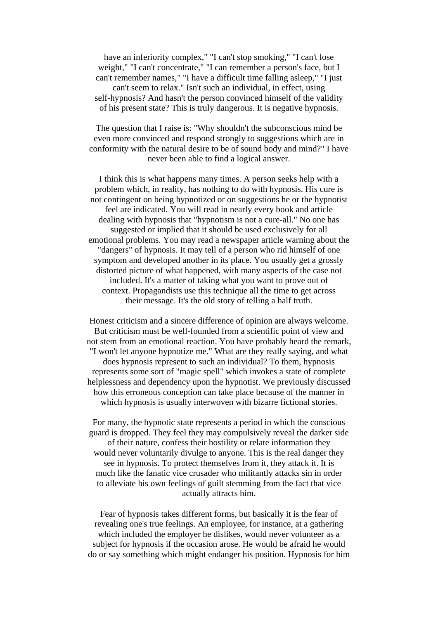have an inferiority complex," "I can't stop smoking," "I can't lose weight," "I can't concentrate," "I can remember a person's face, but I can't remember names," "I have a difficult time falling asleep," "I just can't seem to relax." Isn't such an individual, in effect, using self-hypnosis? And hasn't the person convinced himself of the validity of his present state? This is truly dangerous. It is negative hypnosis.

The question that I raise is: "Why shouldn't the subconscious mind be even more convinced and respond strongly to suggestions which are in conformity with the natural desire to be of sound body and mind?" I have never been able to find a logical answer.

I think this is what happens many times. A person seeks help with a problem which, in reality, has nothing to do with hypnosis. His cure is not contingent on being hypnotized or on suggestions he or the hypnotist feel are indicated. You will read in nearly every book and article dealing with hypnosis that "hypnotism is not a cure-all." No one has suggested or implied that it should be used exclusively for all emotional problems. You may read a newspaper article warning about the "dangers" of hypnosis. It may tell of a person who rid himself of one symptom and developed another in its place. You usually get a grossly distorted picture of what happened, with many aspects of the case not included. It's a matter of taking what you want to prove out of context. Propagandists use this technique all the time to get across their message. It's the old story of telling a half truth.

Honest criticism and a sincere difference of opinion are always welcome. But criticism must be well-founded from a scientific point of view and not stem from an emotional reaction. You have probably heard the remark, "I won't let anyone hypnotize me." What are they really saying, and what does hypnosis represent to such an individual? To them, hypnosis represents some sort of "magic spell" which invokes a state of complete helplessness and dependency upon the hypnotist. We previously discussed how this erroneous conception can take place because of the manner in which hypnosis is usually interwoven with bizarre fictional stories.

For many, the hypnotic state represents a period in which the conscious guard is dropped. They feel they may compulsively reveal the darker side of their nature, confess their hostility or relate information they would never voluntarily divulge to anyone. This is the real danger they see in hypnosis. To protect themselves from it, they attack it. It is much like the fanatic vice crusader who militantly attacks sin in order to alleviate his own feelings of guilt stemming from the fact that vice actually attracts him.

Fear of hypnosis takes different forms, but basically it is the fear of revealing one's true feelings. An employee, for instance, at a gathering which included the employer he dislikes, would never volunteer as a subject for hypnosis if the occasion arose. He would be afraid he would do or say something which might endanger his position. Hypnosis for him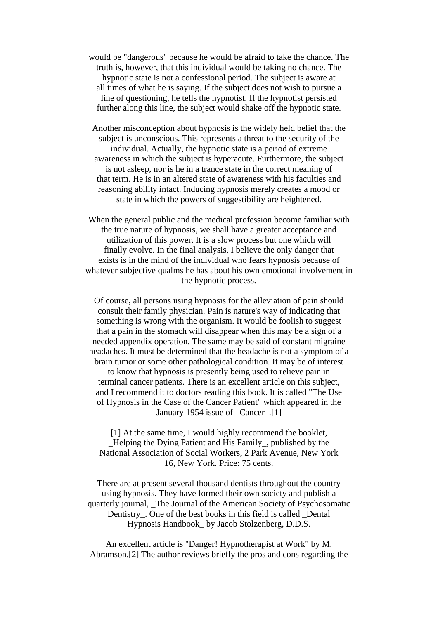would be "dangerous" because he would be afraid to take the chance. The truth is, however, that this individual would be taking no chance. The hypnotic state is not a confessional period. The subject is aware at all times of what he is saying. If the subject does not wish to pursue a line of questioning, he tells the hypnotist. If the hypnotist persisted further along this line, the subject would shake off the hypnotic state.

Another misconception about hypnosis is the widely held belief that the subject is unconscious. This represents a threat to the security of the individual. Actually, the hypnotic state is a period of extreme awareness in which the subject is hyperacute. Furthermore, the subject is not asleep, nor is he in a trance state in the correct meaning of that term. He is in an altered state of awareness with his faculties and reasoning ability intact. Inducing hypnosis merely creates a mood or state in which the powers of suggestibility are heightened.

When the general public and the medical profession become familiar with the true nature of hypnosis, we shall have a greater acceptance and utilization of this power. It is a slow process but one which will finally evolve. In the final analysis, I believe the only danger that exists is in the mind of the individual who fears hypnosis because of whatever subjective qualms he has about his own emotional involvement in the hypnotic process.

Of course, all persons using hypnosis for the alleviation of pain should consult their family physician. Pain is nature's way of indicating that something is wrong with the organism. It would be foolish to suggest that a pain in the stomach will disappear when this may be a sign of a needed appendix operation. The same may be said of constant migraine headaches. It must be determined that the headache is not a symptom of a brain tumor or some other pathological condition. It may be of interest to know that hypnosis is presently being used to relieve pain in terminal cancer patients. There is an excellent article on this subject, and I recommend it to doctors reading this book. It is called "The Use of Hypnosis in the Case of the Cancer Patient" which appeared in the January 1954 issue of \_Cancer\_.[1]

[1] At the same time, I would highly recommend the booklet, \_Helping the Dying Patient and His Family\_, published by the National Association of Social Workers, 2 Park Avenue, New York 16, New York. Price: 75 cents.

There are at present several thousand dentists throughout the country using hypnosis. They have formed their own society and publish a quarterly journal, \_The Journal of the American Society of Psychosomatic Dentistry. One of the best books in this field is called Dental Hypnosis Handbook\_ by Jacob Stolzenberg, D.D.S.

An excellent article is "Danger! Hypnotherapist at Work" by M. Abramson.[2] The author reviews briefly the pros and cons regarding the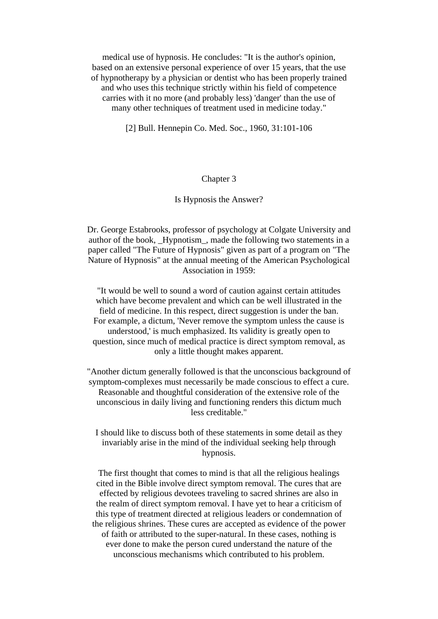medical use of hypnosis. He concludes: "It is the author's opinion, based on an extensive personal experience of over 15 years, that the use of hypnotherapy by a physician or dentist who has been properly trained and who uses this technique strictly within his field of competence carries with it no more (and probably less) 'danger' than the use of many other techniques of treatment used in medicine today."

[2] Bull. Hennepin Co. Med. Soc., 1960, 31:101-106

#### Chapter 3

#### Is Hypnosis the Answer?

Dr. George Estabrooks, professor of psychology at Colgate University and author of the book, \_Hypnotism\_, made the following two statements in a paper called "The Future of Hypnosis" given as part of a program on "The Nature of Hypnosis" at the annual meeting of the American Psychological Association in 1959:

"It would be well to sound a word of caution against certain attitudes which have become prevalent and which can be well illustrated in the field of medicine. In this respect, direct suggestion is under the ban. For example, a dictum, 'Never remove the symptom unless the cause is understood,' is much emphasized. Its validity is greatly open to question, since much of medical practice is direct symptom removal, as only a little thought makes apparent.

"Another dictum generally followed is that the unconscious background of symptom-complexes must necessarily be made conscious to effect a cure. Reasonable and thoughtful consideration of the extensive role of the unconscious in daily living and functioning renders this dictum much less creditable."

I should like to discuss both of these statements in some detail as they invariably arise in the mind of the individual seeking help through hypnosis.

The first thought that comes to mind is that all the religious healings cited in the Bible involve direct symptom removal. The cures that are effected by religious devotees traveling to sacred shrines are also in the realm of direct symptom removal. I have yet to hear a criticism of this type of treatment directed at religious leaders or condemnation of the religious shrines. These cures are accepted as evidence of the power of faith or attributed to the super-natural. In these cases, nothing is ever done to make the person cured understand the nature of the unconscious mechanisms which contributed to his problem.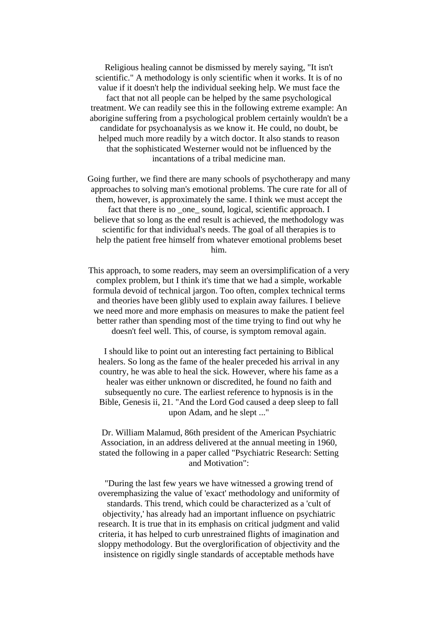Religious healing cannot be dismissed by merely saying, "It isn't scientific." A methodology is only scientific when it works. It is of no value if it doesn't help the individual seeking help. We must face the fact that not all people can be helped by the same psychological treatment. We can readily see this in the following extreme example: An aborigine suffering from a psychological problem certainly wouldn't be a candidate for psychoanalysis as we know it. He could, no doubt, be helped much more readily by a witch doctor. It also stands to reason that the sophisticated Westerner would not be influenced by the incantations of a tribal medicine man.

Going further, we find there are many schools of psychotherapy and many approaches to solving man's emotional problems. The cure rate for all of them, however, is approximately the same. I think we must accept the fact that there is no one sound, logical, scientific approach. I believe that so long as the end result is achieved, the methodology was scientific for that individual's needs. The goal of all therapies is to help the patient free himself from whatever emotional problems beset him.

This approach, to some readers, may seem an oversimplification of a very complex problem, but I think it's time that we had a simple, workable formula devoid of technical jargon. Too often, complex technical terms and theories have been glibly used to explain away failures. I believe we need more and more emphasis on measures to make the patient feel better rather than spending most of the time trying to find out why he doesn't feel well. This, of course, is symptom removal again.

I should like to point out an interesting fact pertaining to Biblical healers. So long as the fame of the healer preceded his arrival in any country, he was able to heal the sick. However, where his fame as a healer was either unknown or discredited, he found no faith and subsequently no cure. The earliest reference to hypnosis is in the Bible, Genesis ii, 21. "And the Lord God caused a deep sleep to fall upon Adam, and he slept ..."

Dr. William Malamud, 86th president of the American Psychiatric Association, in an address delivered at the annual meeting in 1960, stated the following in a paper called "Psychiatric Research: Setting and Motivation":

"During the last few years we have witnessed a growing trend of overemphasizing the value of 'exact' methodology and uniformity of standards. This trend, which could be characterized as a 'cult of objectivity,' has already had an important influence on psychiatric research. It is true that in its emphasis on critical judgment and valid criteria, it has helped to curb unrestrained flights of imagination and sloppy methodology. But the overglorification of objectivity and the insistence on rigidly single standards of acceptable methods have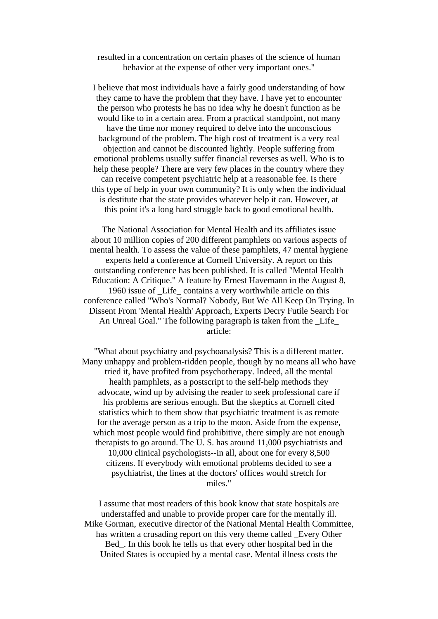resulted in a concentration on certain phases of the science of human behavior at the expense of other very important ones."

I believe that most individuals have a fairly good understanding of how they came to have the problem that they have. I have yet to encounter the person who protests he has no idea why he doesn't function as he would like to in a certain area. From a practical standpoint, not many have the time nor money required to delve into the unconscious background of the problem. The high cost of treatment is a very real objection and cannot be discounted lightly. People suffering from emotional problems usually suffer financial reverses as well. Who is to help these people? There are very few places in the country where they can receive competent psychiatric help at a reasonable fee. Is there this type of help in your own community? It is only when the individual is destitute that the state provides whatever help it can. However, at this point it's a long hard struggle back to good emotional health.

The National Association for Mental Health and its affiliates issue about 10 million copies of 200 different pamphlets on various aspects of mental health. To assess the value of these pamphlets, 47 mental hygiene experts held a conference at Cornell University. A report on this outstanding conference has been published. It is called "Mental Health Education: A Critique." A feature by Ernest Havemann in the August 8, 1960 issue of \_Life\_ contains a very worthwhile article on this conference called "Who's Normal? Nobody, But We All Keep On Trying. In Dissent From 'Mental Health' Approach, Experts Decry Futile Search For An Unreal Goal." The following paragraph is taken from the \_Life\_ article:

"What about psychiatry and psychoanalysis? This is a different matter. Many unhappy and problem-ridden people, though by no means all who have tried it, have profited from psychotherapy. Indeed, all the mental health pamphlets, as a postscript to the self-help methods they advocate, wind up by advising the reader to seek professional care if his problems are serious enough. But the skeptics at Cornell cited statistics which to them show that psychiatric treatment is as remote for the average person as a trip to the moon. Aside from the expense, which most people would find prohibitive, there simply are not enough therapists to go around. The U. S. has around 11,000 psychiatrists and 10,000 clinical psychologists--in all, about one for every 8,500 citizens. If everybody with emotional problems decided to see a psychiatrist, the lines at the doctors' offices would stretch for miles."

I assume that most readers of this book know that state hospitals are understaffed and unable to provide proper care for the mentally ill. Mike Gorman, executive director of the National Mental Health Committee, has written a crusading report on this very theme called \_Every Other Bed. In this book he tells us that every other hospital bed in the United States is occupied by a mental case. Mental illness costs the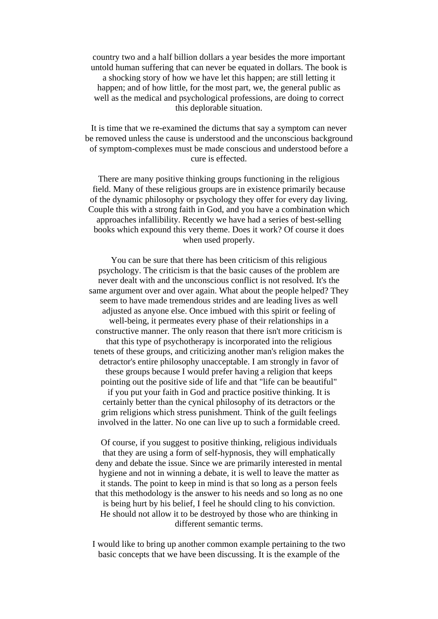country two and a half billion dollars a year besides the more important untold human suffering that can never be equated in dollars. The book is a shocking story of how we have let this happen; are still letting it happen; and of how little, for the most part, we, the general public as well as the medical and psychological professions, are doing to correct this deplorable situation.

It is time that we re-examined the dictums that say a symptom can never be removed unless the cause is understood and the unconscious background of symptom-complexes must be made conscious and understood before a cure is effected.

There are many positive thinking groups functioning in the religious field. Many of these religious groups are in existence primarily because of the dynamic philosophy or psychology they offer for every day living. Couple this with a strong faith in God, and you have a combination which approaches infallibility. Recently we have had a series of best-selling books which expound this very theme. Does it work? Of course it does when used properly.

You can be sure that there has been criticism of this religious psychology. The criticism is that the basic causes of the problem are never dealt with and the unconscious conflict is not resolved. It's the same argument over and over again. What about the people helped? They seem to have made tremendous strides and are leading lives as well adjusted as anyone else. Once imbued with this spirit or feeling of well-being, it permeates every phase of their relationships in a constructive manner. The only reason that there isn't more criticism is that this type of psychotherapy is incorporated into the religious tenets of these groups, and criticizing another man's religion makes the detractor's entire philosophy unacceptable. I am strongly in favor of these groups because I would prefer having a religion that keeps pointing out the positive side of life and that "life can be beautiful" if you put your faith in God and practice positive thinking. It is certainly better than the cynical philosophy of its detractors or the grim religions which stress punishment. Think of the guilt feelings involved in the latter. No one can live up to such a formidable creed.

Of course, if you suggest to positive thinking, religious individuals that they are using a form of self-hypnosis, they will emphatically deny and debate the issue. Since we are primarily interested in mental hygiene and not in winning a debate, it is well to leave the matter as it stands. The point to keep in mind is that so long as a person feels that this methodology is the answer to his needs and so long as no one is being hurt by his belief, I feel he should cling to his conviction. He should not allow it to be destroyed by those who are thinking in different semantic terms.

I would like to bring up another common example pertaining to the two basic concepts that we have been discussing. It is the example of the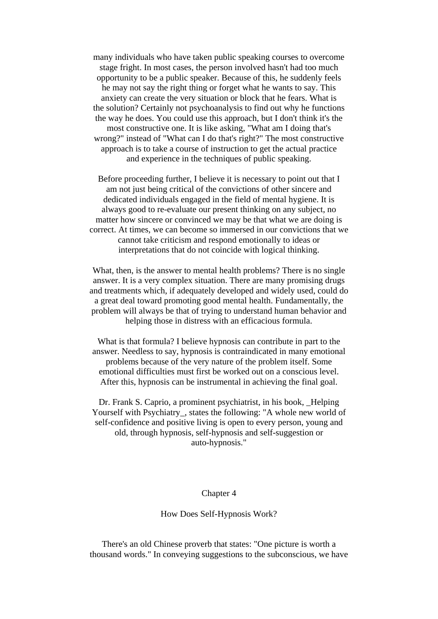many individuals who have taken public speaking courses to overcome stage fright. In most cases, the person involved hasn't had too much opportunity to be a public speaker. Because of this, he suddenly feels he may not say the right thing or forget what he wants to say. This anxiety can create the very situation or block that he fears. What is the solution? Certainly not psychoanalysis to find out why he functions the way he does. You could use this approach, but I don't think it's the most constructive one. It is like asking, "What am I doing that's wrong?" instead of "What can I do that's right?" The most constructive approach is to take a course of instruction to get the actual practice and experience in the techniques of public speaking.

Before proceeding further, I believe it is necessary to point out that I am not just being critical of the convictions of other sincere and dedicated individuals engaged in the field of mental hygiene. It is always good to re-evaluate our present thinking on any subject, no matter how sincere or convinced we may be that what we are doing is correct. At times, we can become so immersed in our convictions that we cannot take criticism and respond emotionally to ideas or interpretations that do not coincide with logical thinking.

What, then, is the answer to mental health problems? There is no single answer. It is a very complex situation. There are many promising drugs and treatments which, if adequately developed and widely used, could do a great deal toward promoting good mental health. Fundamentally, the problem will always be that of trying to understand human behavior and helping those in distress with an efficacious formula.

What is that formula? I believe hypnosis can contribute in part to the answer. Needless to say, hypnosis is contraindicated in many emotional problems because of the very nature of the problem itself. Some emotional difficulties must first be worked out on a conscious level. After this, hypnosis can be instrumental in achieving the final goal.

Dr. Frank S. Caprio, a prominent psychiatrist, in his book, \_Helping Yourself with Psychiatry, states the following: "A whole new world of self-confidence and positive living is open to every person, young and old, through hypnosis, self-hypnosis and self-suggestion or auto-hypnosis."

#### Chapter 4

#### How Does Self-Hypnosis Work?

There's an old Chinese proverb that states: "One picture is worth a thousand words." In conveying suggestions to the subconscious, we have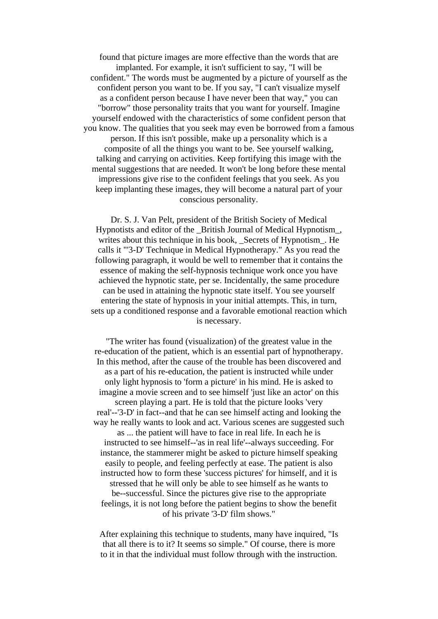found that picture images are more effective than the words that are implanted. For example, it isn't sufficient to say, "I will be confident." The words must be augmented by a picture of yourself as the confident person you want to be. If you say, "I can't visualize myself as a confident person because I have never been that way," you can "borrow" those personality traits that you want for yourself. Imagine yourself endowed with the characteristics of some confident person that you know. The qualities that you seek may even be borrowed from a famous person. If this isn't possible, make up a personality which is a composite of all the things you want to be. See yourself walking, talking and carrying on activities. Keep fortifying this image with the mental suggestions that are needed. It won't be long before these mental impressions give rise to the confident feelings that you seek. As you keep implanting these images, they will become a natural part of your conscious personality.

Dr. S. J. Van Pelt, president of the British Society of Medical Hypnotists and editor of the \_British Journal of Medical Hypnotism\_, writes about this technique in his book, \_Secrets of Hypnotism\_. He calls it "'3-D' Technique in Medical Hypnotherapy." As you read the following paragraph, it would be well to remember that it contains the essence of making the self-hypnosis technique work once you have achieved the hypnotic state, per se. Incidentally, the same procedure can be used in attaining the hypnotic state itself. You see yourself entering the state of hypnosis in your initial attempts. This, in turn, sets up a conditioned response and a favorable emotional reaction which is necessary.

"The writer has found (visualization) of the greatest value in the re-education of the patient, which is an essential part of hypnotherapy. In this method, after the cause of the trouble has been discovered and as a part of his re-education, the patient is instructed while under only light hypnosis to 'form a picture' in his mind. He is asked to imagine a movie screen and to see himself 'just like an actor' on this screen playing a part. He is told that the picture looks 'very real'--'3-D' in fact--and that he can see himself acting and looking the way he really wants to look and act. Various scenes are suggested such as ... the patient will have to face in real life. In each he is instructed to see himself--'as in real life'--always succeeding. For instance, the stammerer might be asked to picture himself speaking easily to people, and feeling perfectly at ease. The patient is also instructed how to form these 'success pictures' for himself, and it is stressed that he will only be able to see himself as he wants to be--successful. Since the pictures give rise to the appropriate feelings, it is not long before the patient begins to show the benefit of his private '3-D' film shows."

After explaining this technique to students, many have inquired, "Is that all there is to it? It seems so simple." Of course, there is more to it in that the individual must follow through with the instruction.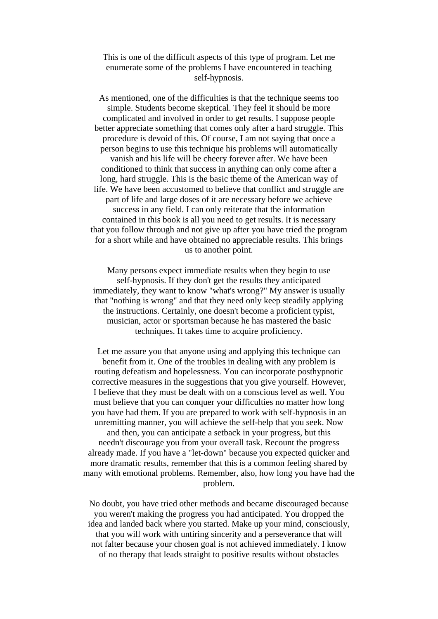This is one of the difficult aspects of this type of program. Let me enumerate some of the problems I have encountered in teaching self-hypnosis.

As mentioned, one of the difficulties is that the technique seems too simple. Students become skeptical. They feel it should be more complicated and involved in order to get results. I suppose people better appreciate something that comes only after a hard struggle. This procedure is devoid of this. Of course, I am not saying that once a person begins to use this technique his problems will automatically vanish and his life will be cheery forever after. We have been conditioned to think that success in anything can only come after a long, hard struggle. This is the basic theme of the American way of life. We have been accustomed to believe that conflict and struggle are part of life and large doses of it are necessary before we achieve success in any field. I can only reiterate that the information contained in this book is all you need to get results. It is necessary that you follow through and not give up after you have tried the program for a short while and have obtained no appreciable results. This brings us to another point.

Many persons expect immediate results when they begin to use self-hypnosis. If they don't get the results they anticipated immediately, they want to know "what's wrong?" My answer is usually that "nothing is wrong" and that they need only keep steadily applying the instructions. Certainly, one doesn't become a proficient typist, musician, actor or sportsman because he has mastered the basic techniques. It takes time to acquire proficiency.

Let me assure you that anyone using and applying this technique can benefit from it. One of the troubles in dealing with any problem is routing defeatism and hopelessness. You can incorporate posthypnotic corrective measures in the suggestions that you give yourself. However, I believe that they must be dealt with on a conscious level as well. You must believe that you can conquer your difficulties no matter how long you have had them. If you are prepared to work with self-hypnosis in an unremitting manner, you will achieve the self-help that you seek. Now and then, you can anticipate a setback in your progress, but this needn't discourage you from your overall task. Recount the progress already made. If you have a "let-down" because you expected quicker and more dramatic results, remember that this is a common feeling shared by many with emotional problems. Remember, also, how long you have had the problem.

No doubt, you have tried other methods and became discouraged because you weren't making the progress you had anticipated. You dropped the idea and landed back where you started. Make up your mind, consciously, that you will work with untiring sincerity and a perseverance that will not falter because your chosen goal is not achieved immediately. I know of no therapy that leads straight to positive results without obstacles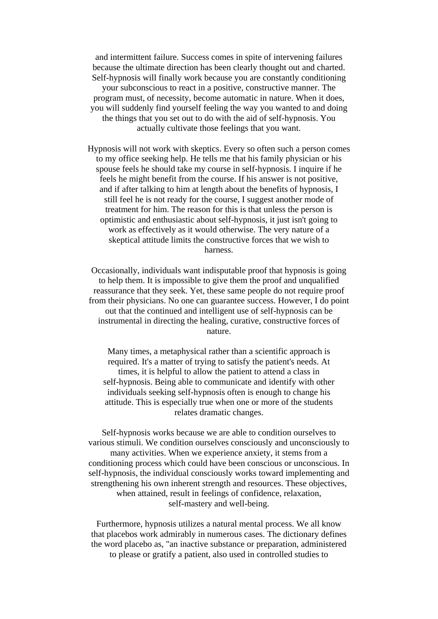and intermittent failure. Success comes in spite of intervening failures because the ultimate direction has been clearly thought out and charted. Self-hypnosis will finally work because you are constantly conditioning your subconscious to react in a positive, constructive manner. The program must, of necessity, become automatic in nature. When it does, you will suddenly find yourself feeling the way you wanted to and doing the things that you set out to do with the aid of self-hypnosis. You actually cultivate those feelings that you want.

Hypnosis will not work with skeptics. Every so often such a person comes to my office seeking help. He tells me that his family physician or his spouse feels he should take my course in self-hypnosis. I inquire if he feels he might benefit from the course. If his answer is not positive, and if after talking to him at length about the benefits of hypnosis, I still feel he is not ready for the course, I suggest another mode of treatment for him. The reason for this is that unless the person is optimistic and enthusiastic about self-hypnosis, it just isn't going to work as effectively as it would otherwise. The very nature of a skeptical attitude limits the constructive forces that we wish to harness.

Occasionally, individuals want indisputable proof that hypnosis is going to help them. It is impossible to give them the proof and unqualified reassurance that they seek. Yet, these same people do not require proof from their physicians. No one can guarantee success. However, I do point out that the continued and intelligent use of self-hypnosis can be instrumental in directing the healing, curative, constructive forces of nature.

Many times, a metaphysical rather than a scientific approach is required. It's a matter of trying to satisfy the patient's needs. At times, it is helpful to allow the patient to attend a class in self-hypnosis. Being able to communicate and identify with other individuals seeking self-hypnosis often is enough to change his attitude. This is especially true when one or more of the students relates dramatic changes.

Self-hypnosis works because we are able to condition ourselves to various stimuli. We condition ourselves consciously and unconsciously to many activities. When we experience anxiety, it stems from a conditioning process which could have been conscious or unconscious. In self-hypnosis, the individual consciously works toward implementing and strengthening his own inherent strength and resources. These objectives, when attained, result in feelings of confidence, relaxation, self-mastery and well-being.

Furthermore, hypnosis utilizes a natural mental process. We all know that placebos work admirably in numerous cases. The dictionary defines the word placebo as, "an inactive substance or preparation, administered to please or gratify a patient, also used in controlled studies to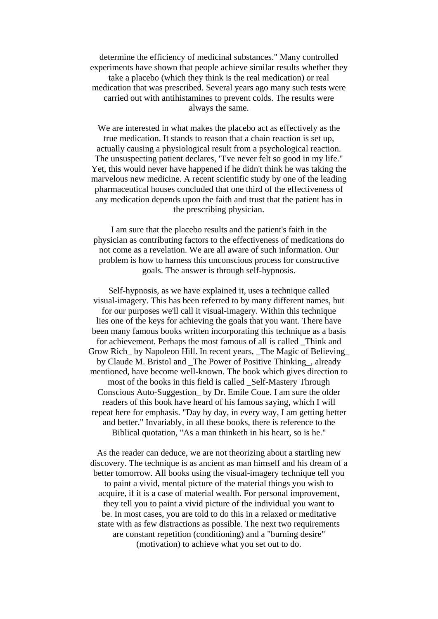determine the efficiency of medicinal substances." Many controlled experiments have shown that people achieve similar results whether they take a placebo (which they think is the real medication) or real medication that was prescribed. Several years ago many such tests were carried out with antihistamines to prevent colds. The results were always the same.

We are interested in what makes the placebo act as effectively as the true medication. It stands to reason that a chain reaction is set up, actually causing a physiological result from a psychological reaction. The unsuspecting patient declares, "I've never felt so good in my life." Yet, this would never have happened if he didn't think he was taking the marvelous new medicine. A recent scientific study by one of the leading pharmaceutical houses concluded that one third of the effectiveness of any medication depends upon the faith and trust that the patient has in the prescribing physician.

I am sure that the placebo results and the patient's faith in the physician as contributing factors to the effectiveness of medications do not come as a revelation. We are all aware of such information. Our problem is how to harness this unconscious process for constructive goals. The answer is through self-hypnosis.

Self-hypnosis, as we have explained it, uses a technique called visual-imagery. This has been referred to by many different names, but for our purposes we'll call it visual-imagery. Within this technique lies one of the keys for achieving the goals that you want. There have been many famous books written incorporating this technique as a basis for achievement. Perhaps the most famous of all is called \_Think and Grow Rich\_ by Napoleon Hill. In recent years, \_The Magic of Believing\_ by Claude M. Bristol and \_The Power of Positive Thinking\_, already mentioned, have become well-known. The book which gives direction to most of the books in this field is called \_Self-Mastery Through Conscious Auto-Suggestion\_ by Dr. Emile Coue. I am sure the older readers of this book have heard of his famous saying, which I will repeat here for emphasis. "Day by day, in every way, I am getting better and better." Invariably, in all these books, there is reference to the Biblical quotation, "As a man thinketh in his heart, so is he."

As the reader can deduce, we are not theorizing about a startling new discovery. The technique is as ancient as man himself and his dream of a better tomorrow. All books using the visual-imagery technique tell you to paint a vivid, mental picture of the material things you wish to acquire, if it is a case of material wealth. For personal improvement, they tell you to paint a vivid picture of the individual you want to be. In most cases, you are told to do this in a relaxed or meditative state with as few distractions as possible. The next two requirements are constant repetition (conditioning) and a "burning desire" (motivation) to achieve what you set out to do.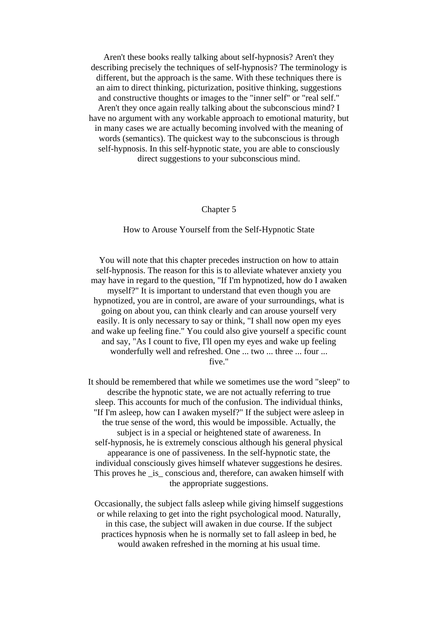Aren't these books really talking about self-hypnosis? Aren't they describing precisely the techniques of self-hypnosis? The terminology is different, but the approach is the same. With these techniques there is an aim to direct thinking, picturization, positive thinking, suggestions and constructive thoughts or images to the "inner self" or "real self." Aren't they once again really talking about the subconscious mind? I have no argument with any workable approach to emotional maturity, but in many cases we are actually becoming involved with the meaning of words (semantics). The quickest way to the subconscious is through self-hypnosis. In this self-hypnotic state, you are able to consciously direct suggestions to your subconscious mind.

## Chapter 5

How to Arouse Yourself from the Self-Hypnotic State

You will note that this chapter precedes instruction on how to attain self-hypnosis. The reason for this is to alleviate whatever anxiety you may have in regard to the question, "If I'm hypnotized, how do I awaken myself?" It is important to understand that even though you are hypnotized, you are in control, are aware of your surroundings, what is going on about you, can think clearly and can arouse yourself very easily. It is only necessary to say or think, "I shall now open my eyes and wake up feeling fine." You could also give yourself a specific count and say, "As I count to five, I'll open my eyes and wake up feeling wonderfully well and refreshed. One ... two ... three ... four ... five."

It should be remembered that while we sometimes use the word "sleep" to describe the hypnotic state, we are not actually referring to true sleep. This accounts for much of the confusion. The individual thinks, "If I'm asleep, how can I awaken myself?" If the subject were asleep in the true sense of the word, this would be impossible. Actually, the subject is in a special or heightened state of awareness. In self-hypnosis, he is extremely conscious although his general physical appearance is one of passiveness. In the self-hypnotic state, the individual consciously gives himself whatever suggestions he desires. This proves he \_is \_conscious and, therefore, can awaken himself with the appropriate suggestions.

Occasionally, the subject falls asleep while giving himself suggestions or while relaxing to get into the right psychological mood. Naturally, in this case, the subject will awaken in due course. If the subject practices hypnosis when he is normally set to fall asleep in bed, he would awaken refreshed in the morning at his usual time.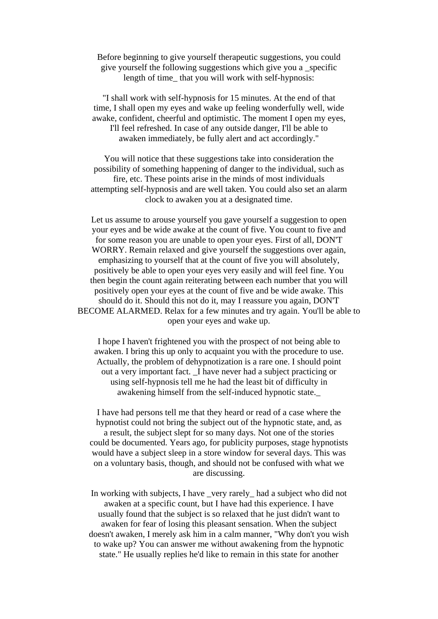# Before beginning to give yourself therapeutic suggestions, you could give yourself the following suggestions which give you a \_specific length of time\_ that you will work with self-hypnosis:

"I shall work with self-hypnosis for 15 minutes. At the end of that time, I shall open my eyes and wake up feeling wonderfully well, wide awake, confident, cheerful and optimistic. The moment I open my eyes, I'll feel refreshed. In case of any outside danger, I'll be able to awaken immediately, be fully alert and act accordingly."

You will notice that these suggestions take into consideration the possibility of something happening of danger to the individual, such as fire, etc. These points arise in the minds of most individuals attempting self-hypnosis and are well taken. You could also set an alarm clock to awaken you at a designated time.

Let us assume to arouse yourself you gave yourself a suggestion to open your eyes and be wide awake at the count of five. You count to five and for some reason you are unable to open your eyes. First of all, DON'T WORRY. Remain relaxed and give yourself the suggestions over again, emphasizing to yourself that at the count of five you will absolutely, positively be able to open your eyes very easily and will feel fine. You then begin the count again reiterating between each number that you will positively open your eyes at the count of five and be wide awake. This should do it. Should this not do it, may I reassure you again, DON'T BECOME ALARMED. Relax for a few minutes and try again. You'll be able to open your eyes and wake up.

I hope I haven't frightened you with the prospect of not being able to awaken. I bring this up only to acquaint you with the procedure to use. Actually, the problem of dehypnotization is a rare one. I should point out a very important fact. \_I have never had a subject practicing or using self-hypnosis tell me he had the least bit of difficulty in awakening himself from the self-induced hypnotic state.\_

I have had persons tell me that they heard or read of a case where the hypnotist could not bring the subject out of the hypnotic state, and, as a result, the subject slept for so many days. Not one of the stories could be documented. Years ago, for publicity purposes, stage hypnotists would have a subject sleep in a store window for several days. This was on a voluntary basis, though, and should not be confused with what we are discussing.

In working with subjects, I have \_very rarely\_ had a subject who did not awaken at a specific count, but I have had this experience. I have usually found that the subject is so relaxed that he just didn't want to awaken for fear of losing this pleasant sensation. When the subject doesn't awaken, I merely ask him in a calm manner, "Why don't you wish to wake up? You can answer me without awakening from the hypnotic state." He usually replies he'd like to remain in this state for another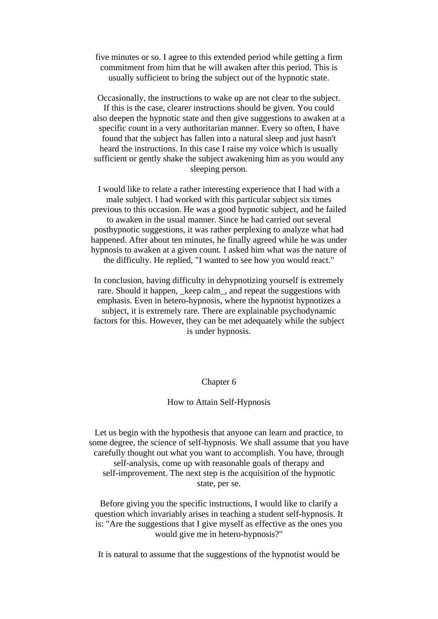five minutes or so. I agree to this extended period while getting a firm commitment from him that he will awaken after this period. This is usually sufficient to bring the subject out of the hypnotic state.

Occasionally, the instructions to wake up are not clear to the subject. If this is the case, clearer instructions should be given. You could also deepen the hypnotic state and then give suggestions to awaken at a specific count in a very authoritarian manner. Every so often, I have found that the subject has fallen into a natural sleep and just hasn't heard the instructions. In this case I raise my voice which is usually sufficient or gently shake the subject awakening him as you would any sleeping person.

I would like to relate a rather interesting experience that I had with a male subject. I had worked with this particular subject six times previous to this occasion. He was a good hypnotic subject, and he failed to awaken in the usual manner. Since he had carried out several posthypnotic suggestions, it was rather perplexing to analyze what had happened. After about ten minutes, he finally agreed while he was under hypnosis to awaken at a given count. I asked him what was the nature of the difficulty. He replied, "I wanted to see how you would react."

In conclusion, having difficulty in dehypnotizing yourself is extremely rare. Should it happen, \_keep calm\_, and repeat the suggestions with emphasis. Even in hetero-hypnosis, where the hypnotist hypnotizes a subject, it is extremely rare. There are explainable psychodynamic factors for this. However, they can be met adequately while the subject is under hypnosis.

## Chapter 6

## How to Attain Self-Hypnosis

Let us begin with the hypothesis that anyone can learn and practice, to some degree, the science of self-hypnosis. We shall assume that you have carefully thought out what you want to accomplish. You have, through self-analysis, come up with reasonable goals of therapy and self-improvement. The next step is the acquisition of the hypnotic state, per se.

Before giving you the specific instructions, I would like to clarify a question which invariably arises in teaching a student self-hypnosis. It is: "Are the suggestions that I give myself as effective as the ones you would give me in hetero-hypnosis?"

It is natural to assume that the suggestions of the hypnotist would be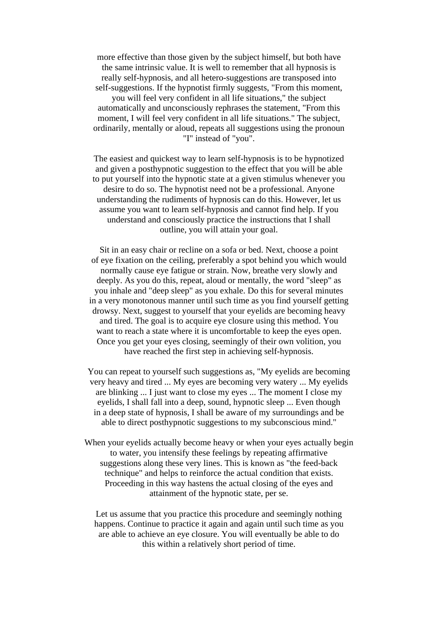more effective than those given by the subject himself, but both have the same intrinsic value. It is well to remember that all hypnosis is really self-hypnosis, and all hetero-suggestions are transposed into self-suggestions. If the hypnotist firmly suggests, "From this moment, you will feel very confident in all life situations," the subject automatically and unconsciously rephrases the statement, "From this moment, I will feel very confident in all life situations." The subject, ordinarily, mentally or aloud, repeats all suggestions using the pronoun "I" instead of "you".

The easiest and quickest way to learn self-hypnosis is to be hypnotized and given a posthypnotic suggestion to the effect that you will be able to put yourself into the hypnotic state at a given stimulus whenever you desire to do so. The hypnotist need not be a professional. Anyone understanding the rudiments of hypnosis can do this. However, let us assume you want to learn self-hypnosis and cannot find help. If you understand and consciously practice the instructions that I shall outline, you will attain your goal.

Sit in an easy chair or recline on a sofa or bed. Next, choose a point of eye fixation on the ceiling, preferably a spot behind you which would normally cause eye fatigue or strain. Now, breathe very slowly and deeply. As you do this, repeat, aloud or mentally, the word "sleep" as you inhale and "deep sleep" as you exhale. Do this for several minutes in a very monotonous manner until such time as you find yourself getting drowsy. Next, suggest to yourself that your eyelids are becoming heavy and tired. The goal is to acquire eye closure using this method. You want to reach a state where it is uncomfortable to keep the eyes open. Once you get your eyes closing, seemingly of their own volition, you have reached the first step in achieving self-hypnosis.

You can repeat to yourself such suggestions as, "My eyelids are becoming very heavy and tired ... My eyes are becoming very watery ... My eyelids are blinking ... I just want to close my eyes ... The moment I close my eyelids, I shall fall into a deep, sound, hypnotic sleep ... Even though in a deep state of hypnosis, I shall be aware of my surroundings and be able to direct posthypnotic suggestions to my subconscious mind."

When your eyelids actually become heavy or when your eyes actually begin to water, you intensify these feelings by repeating affirmative suggestions along these very lines. This is known as "the feed-back technique" and helps to reinforce the actual condition that exists. Proceeding in this way hastens the actual closing of the eyes and attainment of the hypnotic state, per se.

Let us assume that you practice this procedure and seemingly nothing happens. Continue to practice it again and again until such time as you are able to achieve an eye closure. You will eventually be able to do this within a relatively short period of time.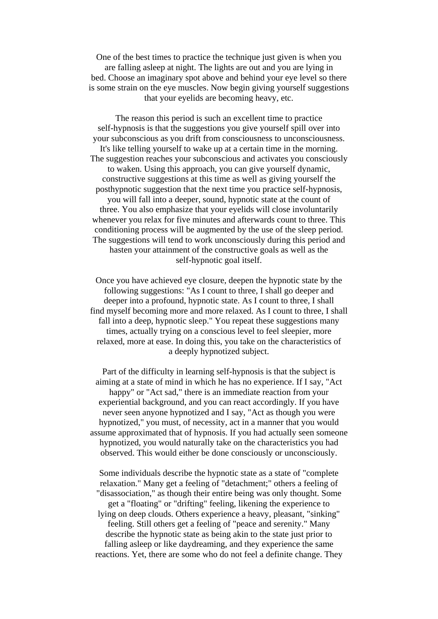One of the best times to practice the technique just given is when you are falling asleep at night. The lights are out and you are lying in bed. Choose an imaginary spot above and behind your eye level so there is some strain on the eye muscles. Now begin giving yourself suggestions that your eyelids are becoming heavy, etc.

The reason this period is such an excellent time to practice self-hypnosis is that the suggestions you give yourself spill over into your subconscious as you drift from consciousness to unconsciousness. It's like telling yourself to wake up at a certain time in the morning. The suggestion reaches your subconscious and activates you consciously to waken. Using this approach, you can give yourself dynamic, constructive suggestions at this time as well as giving yourself the posthypnotic suggestion that the next time you practice self-hypnosis, you will fall into a deeper, sound, hypnotic state at the count of three. You also emphasize that your eyelids will close involuntarily whenever you relax for five minutes and afterwards count to three. This conditioning process will be augmented by the use of the sleep period. The suggestions will tend to work unconsciously during this period and hasten your attainment of the constructive goals as well as the self-hypnotic goal itself.

Once you have achieved eye closure, deepen the hypnotic state by the following suggestions: "As I count to three, I shall go deeper and deeper into a profound, hypnotic state. As I count to three, I shall find myself becoming more and more relaxed. As I count to three, I shall fall into a deep, hypnotic sleep." You repeat these suggestions many times, actually trying on a conscious level to feel sleepier, more relaxed, more at ease. In doing this, you take on the characteristics of a deeply hypnotized subject.

Part of the difficulty in learning self-hypnosis is that the subject is aiming at a state of mind in which he has no experience. If I say, "Act happy" or "Act sad," there is an immediate reaction from your experiential background, and you can react accordingly. If you have never seen anyone hypnotized and I say, "Act as though you were hypnotized," you must, of necessity, act in a manner that you would assume approximated that of hypnosis. If you had actually seen someone hypnotized, you would naturally take on the characteristics you had observed. This would either be done consciously or unconsciously.

Some individuals describe the hypnotic state as a state of "complete relaxation." Many get a feeling of "detachment;" others a feeling of "disassociation," as though their entire being was only thought. Some get a "floating" or "drifting" feeling, likening the experience to lying on deep clouds. Others experience a heavy, pleasant, "sinking" feeling. Still others get a feeling of "peace and serenity." Many describe the hypnotic state as being akin to the state just prior to falling asleep or like daydreaming, and they experience the same reactions. Yet, there are some who do not feel a definite change. They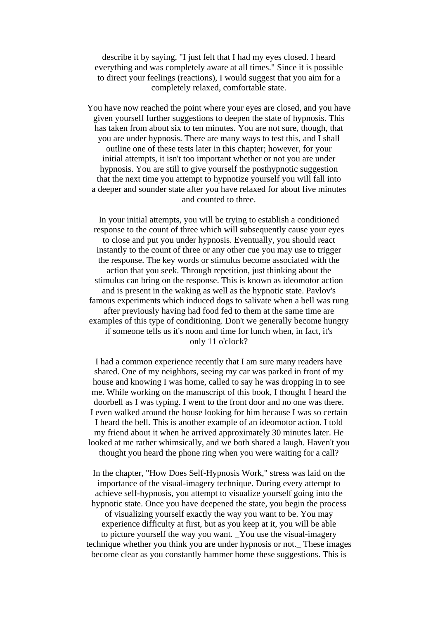describe it by saying, "I just felt that I had my eyes closed. I heard everything and was completely aware at all times." Since it is possible to direct your feelings (reactions), I would suggest that you aim for a completely relaxed, comfortable state.

You have now reached the point where your eyes are closed, and you have given yourself further suggestions to deepen the state of hypnosis. This has taken from about six to ten minutes. You are not sure, though, that you are under hypnosis. There are many ways to test this, and I shall outline one of these tests later in this chapter; however, for your initial attempts, it isn't too important whether or not you are under hypnosis. You are still to give yourself the posthypnotic suggestion that the next time you attempt to hypnotize yourself you will fall into a deeper and sounder state after you have relaxed for about five minutes and counted to three.

In your initial attempts, you will be trying to establish a conditioned response to the count of three which will subsequently cause your eyes to close and put you under hypnosis. Eventually, you should react instantly to the count of three or any other cue you may use to trigger the response. The key words or stimulus become associated with the action that you seek. Through repetition, just thinking about the stimulus can bring on the response. This is known as ideomotor action and is present in the waking as well as the hypnotic state. Pavlov's famous experiments which induced dogs to salivate when a bell was rung after previously having had food fed to them at the same time are examples of this type of conditioning. Don't we generally become hungry if someone tells us it's noon and time for lunch when, in fact, it's only 11 o'clock?

I had a common experience recently that I am sure many readers have shared. One of my neighbors, seeing my car was parked in front of my house and knowing I was home, called to say he was dropping in to see me. While working on the manuscript of this book, I thought I heard the doorbell as I was typing. I went to the front door and no one was there. I even walked around the house looking for him because I was so certain I heard the bell. This is another example of an ideomotor action. I told my friend about it when he arrived approximately 30 minutes later. He looked at me rather whimsically, and we both shared a laugh. Haven't you thought you heard the phone ring when you were waiting for a call?

In the chapter, "How Does Self-Hypnosis Work," stress was laid on the importance of the visual-imagery technique. During every attempt to achieve self-hypnosis, you attempt to visualize yourself going into the hypnotic state. Once you have deepened the state, you begin the process of visualizing yourself exactly the way you want to be. You may experience difficulty at first, but as you keep at it, you will be able to picture yourself the way you want. \_You use the visual-imagery technique whether you think you are under hypnosis or not.\_ These images become clear as you constantly hammer home these suggestions. This is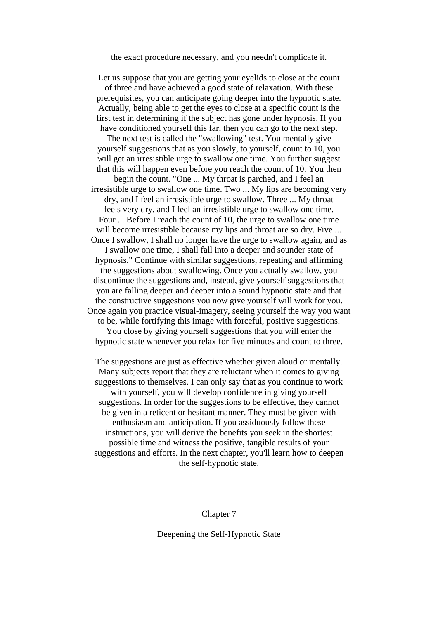the exact procedure necessary, and you needn't complicate it.

Let us suppose that you are getting your eyelids to close at the count of three and have achieved a good state of relaxation. With these prerequisites, you can anticipate going deeper into the hypnotic state. Actually, being able to get the eyes to close at a specific count is the first test in determining if the subject has gone under hypnosis. If you have conditioned yourself this far, then you can go to the next step.

The next test is called the "swallowing" test. You mentally give yourself suggestions that as you slowly, to yourself, count to 10, you will get an irresistible urge to swallow one time. You further suggest that this will happen even before you reach the count of 10. You then

begin the count. "One ... My throat is parched, and I feel an irresistible urge to swallow one time. Two ... My lips are becoming very dry, and I feel an irresistible urge to swallow. Three ... My throat feels very dry, and I feel an irresistible urge to swallow one time. Four ... Before I reach the count of 10, the urge to swallow one time will become irresistible because my lips and throat are so dry. Five ... Once I swallow, I shall no longer have the urge to swallow again, and as

I swallow one time, I shall fall into a deeper and sounder state of hypnosis." Continue with similar suggestions, repeating and affirming the suggestions about swallowing. Once you actually swallow, you discontinue the suggestions and, instead, give yourself suggestions that you are falling deeper and deeper into a sound hypnotic state and that the constructive suggestions you now give yourself will work for you. Once again you practice visual-imagery, seeing yourself the way you want to be, while fortifying this image with forceful, positive suggestions.

You close by giving yourself suggestions that you will enter the hypnotic state whenever you relax for five minutes and count to three.

The suggestions are just as effective whether given aloud or mentally. Many subjects report that they are reluctant when it comes to giving suggestions to themselves. I can only say that as you continue to work with yourself, you will develop confidence in giving yourself suggestions. In order for the suggestions to be effective, they cannot be given in a reticent or hesitant manner. They must be given with enthusiasm and anticipation. If you assiduously follow these instructions, you will derive the benefits you seek in the shortest possible time and witness the positive, tangible results of your suggestions and efforts. In the next chapter, you'll learn how to deepen the self-hypnotic state.

## Chapter 7

Deepening the Self-Hypnotic State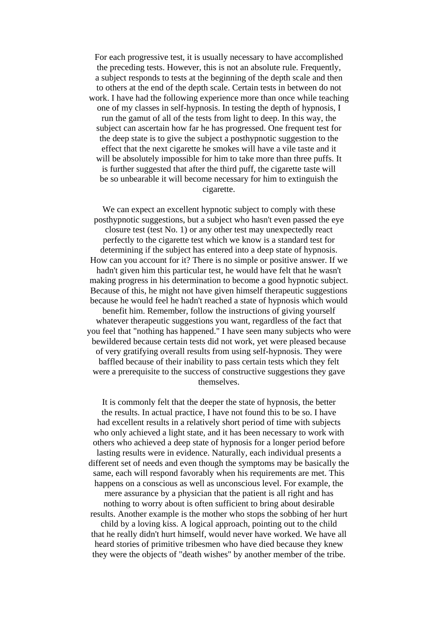For each progressive test, it is usually necessary to have accomplished the preceding tests. However, this is not an absolute rule. Frequently, a subject responds to tests at the beginning of the depth scale and then to others at the end of the depth scale. Certain tests in between do not work. I have had the following experience more than once while teaching one of my classes in self-hypnosis. In testing the depth of hypnosis, I run the gamut of all of the tests from light to deep. In this way, the subject can ascertain how far he has progressed. One frequent test for the deep state is to give the subject a posthypnotic suggestion to the effect that the next cigarette he smokes will have a vile taste and it will be absolutely impossible for him to take more than three puffs. It is further suggested that after the third puff, the cigarette taste will be so unbearable it will become necessary for him to extinguish the cigarette.

We can expect an excellent hypnotic subject to comply with these posthypnotic suggestions, but a subject who hasn't even passed the eye closure test (test No. 1) or any other test may unexpectedly react perfectly to the cigarette test which we know is a standard test for determining if the subject has entered into a deep state of hypnosis. How can you account for it? There is no simple or positive answer. If we hadn't given him this particular test, he would have felt that he wasn't making progress in his determination to become a good hypnotic subject. Because of this, he might not have given himself therapeutic suggestions because he would feel he hadn't reached a state of hypnosis which would benefit him. Remember, follow the instructions of giving yourself whatever therapeutic suggestions you want, regardless of the fact that you feel that "nothing has happened." I have seen many subjects who were bewildered because certain tests did not work, yet were pleased because of very gratifying overall results from using self-hypnosis. They were baffled because of their inability to pass certain tests which they felt were a prerequisite to the success of constructive suggestions they gave themselves.

It is commonly felt that the deeper the state of hypnosis, the better the results. In actual practice, I have not found this to be so. I have had excellent results in a relatively short period of time with subjects who only achieved a light state, and it has been necessary to work with others who achieved a deep state of hypnosis for a longer period before lasting results were in evidence. Naturally, each individual presents a different set of needs and even though the symptoms may be basically the same, each will respond favorably when his requirements are met. This happens on a conscious as well as unconscious level. For example, the mere assurance by a physician that the patient is all right and has nothing to worry about is often sufficient to bring about desirable results. Another example is the mother who stops the sobbing of her hurt child by a loving kiss. A logical approach, pointing out to the child that he really didn't hurt himself, would never have worked. We have all heard stories of primitive tribesmen who have died because they knew they were the objects of "death wishes" by another member of the tribe.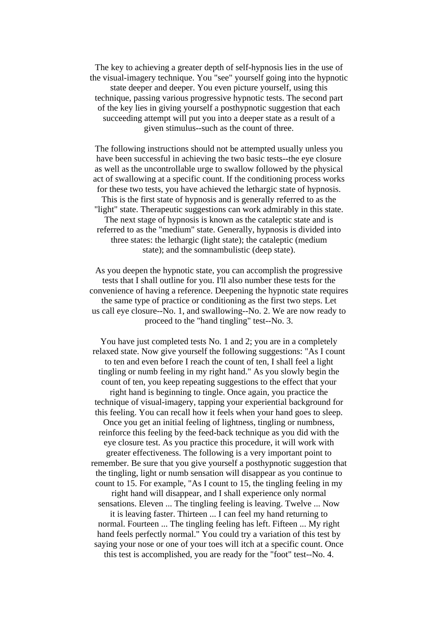The key to achieving a greater depth of self-hypnosis lies in the use of the visual-imagery technique. You "see" yourself going into the hypnotic state deeper and deeper. You even picture yourself, using this technique, passing various progressive hypnotic tests. The second part of the key lies in giving yourself a posthypnotic suggestion that each succeeding attempt will put you into a deeper state as a result of a given stimulus--such as the count of three.

The following instructions should not be attempted usually unless you have been successful in achieving the two basic tests--the eye closure as well as the uncontrollable urge to swallow followed by the physical act of swallowing at a specific count. If the conditioning process works for these two tests, you have achieved the lethargic state of hypnosis. This is the first state of hypnosis and is generally referred to as the "light" state. Therapeutic suggestions can work admirably in this state. The next stage of hypnosis is known as the cataleptic state and is referred to as the "medium" state. Generally, hypnosis is divided into three states: the lethargic (light state); the cataleptic (medium state); and the somnambulistic (deep state).

As you deepen the hypnotic state, you can accomplish the progressive tests that I shall outline for you. I'll also number these tests for the convenience of having a reference. Deepening the hypnotic state requires the same type of practice or conditioning as the first two steps. Let us call eye closure--No. 1, and swallowing--No. 2. We are now ready to proceed to the "hand tingling" test--No. 3.

You have just completed tests No. 1 and 2; you are in a completely relaxed state. Now give yourself the following suggestions: "As I count to ten and even before I reach the count of ten, I shall feel a light tingling or numb feeling in my right hand." As you slowly begin the count of ten, you keep repeating suggestions to the effect that your right hand is beginning to tingle. Once again, you practice the technique of visual-imagery, tapping your experiential background for this feeling. You can recall how it feels when your hand goes to sleep. Once you get an initial feeling of lightness, tingling or numbness, reinforce this feeling by the feed-back technique as you did with the eye closure test. As you practice this procedure, it will work with greater effectiveness. The following is a very important point to remember. Be sure that you give yourself a posthypnotic suggestion that the tingling, light or numb sensation will disappear as you continue to count to 15. For example, "As I count to 15, the tingling feeling in my right hand will disappear, and I shall experience only normal sensations. Eleven ... The tingling feeling is leaving. Twelve ... Now it is leaving faster. Thirteen ... I can feel my hand returning to normal. Fourteen ... The tingling feeling has left. Fifteen ... My right hand feels perfectly normal." You could try a variation of this test by saying your nose or one of your toes will itch at a specific count. Once this test is accomplished, you are ready for the "foot" test--No. 4.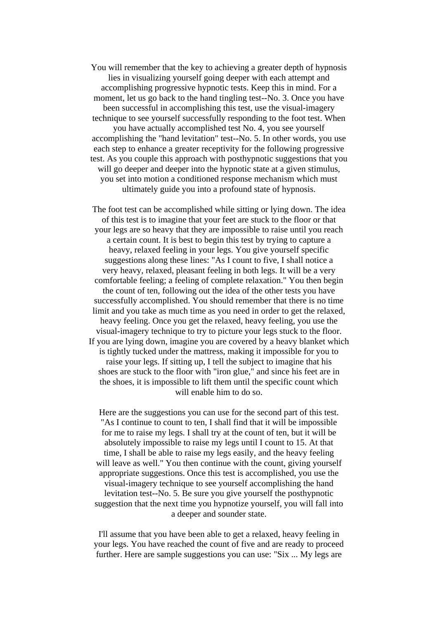You will remember that the key to achieving a greater depth of hypnosis lies in visualizing yourself going deeper with each attempt and accomplishing progressive hypnotic tests. Keep this in mind. For a moment, let us go back to the hand tingling test--No. 3. Once you have been successful in accomplishing this test, use the visual-imagery technique to see yourself successfully responding to the foot test. When you have actually accomplished test No. 4, you see yourself accomplishing the "hand levitation" test--No. 5. In other words, you use each step to enhance a greater receptivity for the following progressive test. As you couple this approach with posthypnotic suggestions that you will go deeper and deeper into the hypnotic state at a given stimulus, you set into motion a conditioned response mechanism which must ultimately guide you into a profound state of hypnosis.

The foot test can be accomplished while sitting or lying down. The idea of this test is to imagine that your feet are stuck to the floor or that your legs are so heavy that they are impossible to raise until you reach a certain count. It is best to begin this test by trying to capture a heavy, relaxed feeling in your legs. You give yourself specific suggestions along these lines: "As I count to five, I shall notice a very heavy, relaxed, pleasant feeling in both legs. It will be a very comfortable feeling; a feeling of complete relaxation." You then begin the count of ten, following out the idea of the other tests you have successfully accomplished. You should remember that there is no time limit and you take as much time as you need in order to get the relaxed, heavy feeling. Once you get the relaxed, heavy feeling, you use the visual-imagery technique to try to picture your legs stuck to the floor. If you are lying down, imagine you are covered by a heavy blanket which is tightly tucked under the mattress, making it impossible for you to raise your legs. If sitting up, I tell the subject to imagine that his shoes are stuck to the floor with "iron glue," and since his feet are in the shoes, it is impossible to lift them until the specific count which will enable him to do so.

Here are the suggestions you can use for the second part of this test. "As I continue to count to ten, I shall find that it will be impossible for me to raise my legs. I shall try at the count of ten, but it will be absolutely impossible to raise my legs until I count to 15. At that time, I shall be able to raise my legs easily, and the heavy feeling will leave as well." You then continue with the count, giving yourself appropriate suggestions. Once this test is accomplished, you use the visual-imagery technique to see yourself accomplishing the hand levitation test--No. 5. Be sure you give yourself the posthypnotic suggestion that the next time you hypnotize yourself, you will fall into a deeper and sounder state.

I'll assume that you have been able to get a relaxed, heavy feeling in your legs. You have reached the count of five and are ready to proceed further. Here are sample suggestions you can use: "Six ... My legs are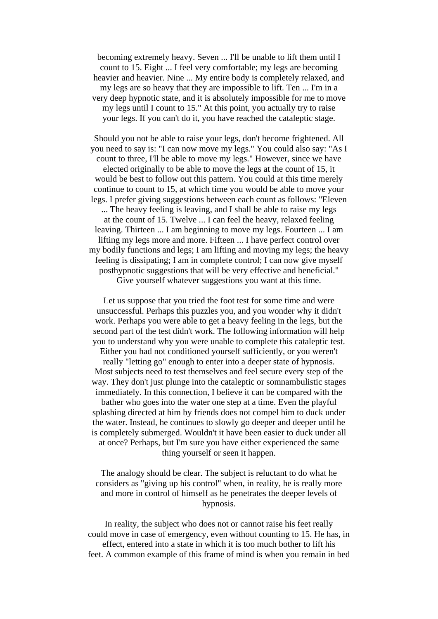becoming extremely heavy. Seven ... I'll be unable to lift them until I count to 15. Eight ... I feel very comfortable; my legs are becoming heavier and heavier. Nine ... My entire body is completely relaxed, and my legs are so heavy that they are impossible to lift. Ten ... I'm in a very deep hypnotic state, and it is absolutely impossible for me to move my legs until I count to 15." At this point, you actually try to raise your legs. If you can't do it, you have reached the cataleptic stage.

Should you not be able to raise your legs, don't become frightened. All you need to say is: "I can now move my legs." You could also say: "As I count to three, I'll be able to move my legs." However, since we have elected originally to be able to move the legs at the count of 15, it would be best to follow out this pattern. You could at this time merely continue to count to 15, at which time you would be able to move your legs. I prefer giving suggestions between each count as follows: "Eleven ... The heavy feeling is leaving, and I shall be able to raise my legs at the count of 15. Twelve ... I can feel the heavy, relaxed feeling leaving. Thirteen ... I am beginning to move my legs. Fourteen ... I am lifting my legs more and more. Fifteen ... I have perfect control over my bodily functions and legs; I am lifting and moving my legs; the heavy feeling is dissipating; I am in complete control; I can now give myself posthypnotic suggestions that will be very effective and beneficial." Give yourself whatever suggestions you want at this time.

Let us suppose that you tried the foot test for some time and were unsuccessful. Perhaps this puzzles you, and you wonder why it didn't work. Perhaps you were able to get a heavy feeling in the legs, but the second part of the test didn't work. The following information will help you to understand why you were unable to complete this cataleptic test.

Either you had not conditioned yourself sufficiently, or you weren't really "letting go" enough to enter into a deeper state of hypnosis. Most subjects need to test themselves and feel secure every step of the way. They don't just plunge into the cataleptic or somnambulistic stages immediately. In this connection, I believe it can be compared with the bather who goes into the water one step at a time. Even the playful splashing directed at him by friends does not compel him to duck under the water. Instead, he continues to slowly go deeper and deeper until he is completely submerged. Wouldn't it have been easier to duck under all at once? Perhaps, but I'm sure you have either experienced the same

thing yourself or seen it happen.

The analogy should be clear. The subject is reluctant to do what he considers as "giving up his control" when, in reality, he is really more and more in control of himself as he penetrates the deeper levels of hypnosis.

In reality, the subject who does not or cannot raise his feet really could move in case of emergency, even without counting to 15. He has, in effect, entered into a state in which it is too much bother to lift his feet. A common example of this frame of mind is when you remain in bed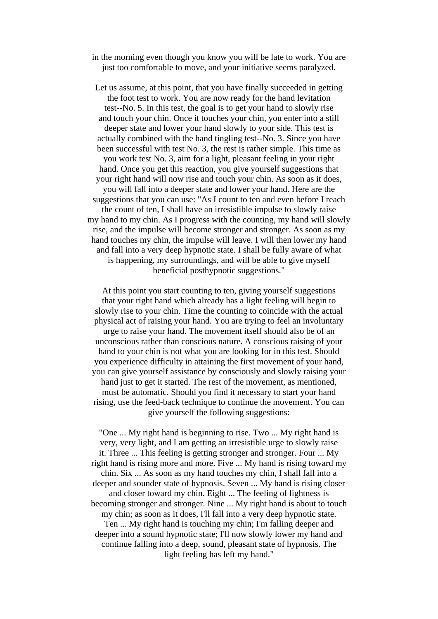in the morning even though you know you will be late to work. You are just too comfortable to move, and your initiative seems paralyzed.

Let us assume, at this point, that you have finally succeeded in getting the foot test to work. You are now ready for the hand levitation test--No. 5. In this test, the goal is to get your hand to slowly rise and touch your chin. Once it touches your chin, you enter into a still deeper state and lower your hand slowly to your side. This test is actually combined with the hand tingling test--No. 3. Since you have been successful with test No. 3, the rest is rather simple. This time as you work test No. 3, aim for a light, pleasant feeling in your right hand. Once you get this reaction, you give yourself suggestions that your right hand will now rise and touch your chin. As soon as it does, you will fall into a deeper state and lower your hand. Here are the suggestions that you can use: "As I count to ten and even before I reach the count of ten, I shall have an irresistible impulse to slowly raise my hand to my chin. As I progress with the counting, my hand will slowly rise, and the impulse will become stronger and stronger. As soon as my hand touches my chin, the impulse will leave. I will then lower my hand and fall into a very deep hypnotic state. I shall be fully aware of what is happening, my surroundings, and will be able to give myself beneficial posthypnotic suggestions."

At this point you start counting to ten, giving yourself suggestions that your right hand which already has a light feeling will begin to slowly rise to your chin. Time the counting to coincide with the actual physical act of raising your hand. You are trying to feel an involuntary urge to raise your hand. The movement itself should also be of an unconscious rather than conscious nature. A conscious raising of your hand to your chin is not what you are looking for in this test. Should you experience difficulty in attaining the first movement of your hand, you can give yourself assistance by consciously and slowly raising your hand just to get it started. The rest of the movement, as mentioned, must be automatic. Should you find it necessary to start your hand rising, use the feed-back technique to continue the movement. You can give yourself the following suggestions:

"One ... My right hand is beginning to rise. Two ... My right hand is very, very light, and I am getting an irresistible urge to slowly raise it. Three ... This feeling is getting stronger and stronger. Four ... My right hand is rising more and more. Five ... My hand is rising toward my chin. Six ... As soon as my hand touches my chin, I shall fall into a deeper and sounder state of hypnosis. Seven ... My hand is rising closer and closer toward my chin. Eight ... The feeling of lightness is becoming stronger and stronger. Nine ... My right hand is about to touch my chin; as soon as it does, I'll fall into a very deep hypnotic state. Ten ... My right hand is touching my chin; I'm falling deeper and deeper into a sound hypnotic state; I'll now slowly lower my hand and continue falling into a deep, sound, pleasant state of hypnosis. The light feeling has left my hand."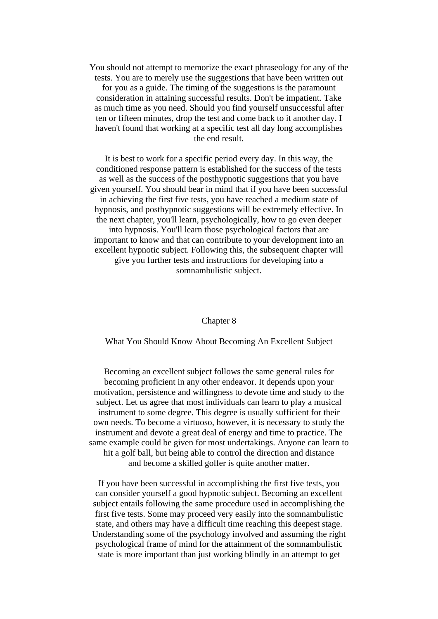You should not attempt to memorize the exact phraseology for any of the tests. You are to merely use the suggestions that have been written out

for you as a guide. The timing of the suggestions is the paramount consideration in attaining successful results. Don't be impatient. Take as much time as you need. Should you find yourself unsuccessful after ten or fifteen minutes, drop the test and come back to it another day. I haven't found that working at a specific test all day long accomplishes the end result.

It is best to work for a specific period every day. In this way, the conditioned response pattern is established for the success of the tests as well as the success of the posthypnotic suggestions that you have given yourself. You should bear in mind that if you have been successful in achieving the first five tests, you have reached a medium state of hypnosis, and posthypnotic suggestions will be extremely effective. In the next chapter, you'll learn, psychologically, how to go even deeper into hypnosis. You'll learn those psychological factors that are important to know and that can contribute to your development into an excellent hypnotic subject. Following this, the subsequent chapter will give you further tests and instructions for developing into a somnambulistic subject.

#### Chapter 8

What You Should Know About Becoming An Excellent Subject

Becoming an excellent subject follows the same general rules for becoming proficient in any other endeavor. It depends upon your motivation, persistence and willingness to devote time and study to the subject. Let us agree that most individuals can learn to play a musical instrument to some degree. This degree is usually sufficient for their own needs. To become a virtuoso, however, it is necessary to study the instrument and devote a great deal of energy and time to practice. The same example could be given for most undertakings. Anyone can learn to hit a golf ball, but being able to control the direction and distance and become a skilled golfer is quite another matter.

If you have been successful in accomplishing the first five tests, you can consider yourself a good hypnotic subject. Becoming an excellent subject entails following the same procedure used in accomplishing the first five tests. Some may proceed very easily into the somnambulistic state, and others may have a difficult time reaching this deepest stage. Understanding some of the psychology involved and assuming the right psychological frame of mind for the attainment of the somnambulistic state is more important than just working blindly in an attempt to get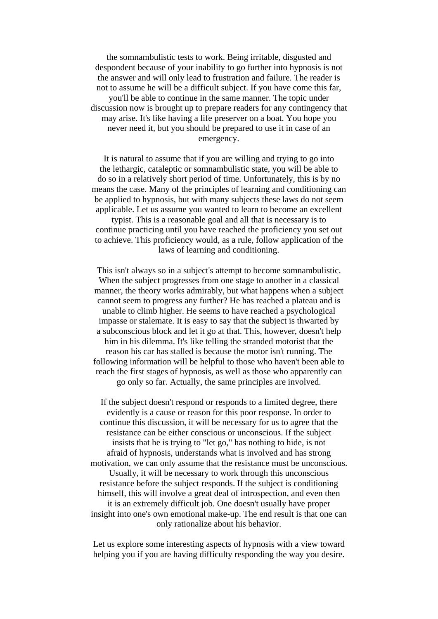the somnambulistic tests to work. Being irritable, disgusted and despondent because of your inability to go further into hypnosis is not the answer and will only lead to frustration and failure. The reader is not to assume he will be a difficult subject. If you have come this far, you'll be able to continue in the same manner. The topic under discussion now is brought up to prepare readers for any contingency that may arise. It's like having a life preserver on a boat. You hope you never need it, but you should be prepared to use it in case of an emergency.

It is natural to assume that if you are willing and trying to go into the lethargic, cataleptic or somnambulistic state, you will be able to do so in a relatively short period of time. Unfortunately, this is by no means the case. Many of the principles of learning and conditioning can be applied to hypnosis, but with many subjects these laws do not seem applicable. Let us assume you wanted to learn to become an excellent typist. This is a reasonable goal and all that is necessary is to

continue practicing until you have reached the proficiency you set out to achieve. This proficiency would, as a rule, follow application of the laws of learning and conditioning.

This isn't always so in a subject's attempt to become somnambulistic. When the subject progresses from one stage to another in a classical manner, the theory works admirably, but what happens when a subject cannot seem to progress any further? He has reached a plateau and is unable to climb higher. He seems to have reached a psychological impasse or stalemate. It is easy to say that the subject is thwarted by a subconscious block and let it go at that. This, however, doesn't help him in his dilemma. It's like telling the stranded motorist that the reason his car has stalled is because the motor isn't running. The following information will be helpful to those who haven't been able to reach the first stages of hypnosis, as well as those who apparently can go only so far. Actually, the same principles are involved.

If the subject doesn't respond or responds to a limited degree, there evidently is a cause or reason for this poor response. In order to continue this discussion, it will be necessary for us to agree that the resistance can be either conscious or unconscious. If the subject insists that he is trying to "let go," has nothing to hide, is not afraid of hypnosis, understands what is involved and has strong motivation, we can only assume that the resistance must be unconscious. Usually, it will be necessary to work through this unconscious resistance before the subject responds. If the subject is conditioning himself, this will involve a great deal of introspection, and even then it is an extremely difficult job. One doesn't usually have proper insight into one's own emotional make-up. The end result is that one can only rationalize about his behavior.

Let us explore some interesting aspects of hypnosis with a view toward helping you if you are having difficulty responding the way you desire.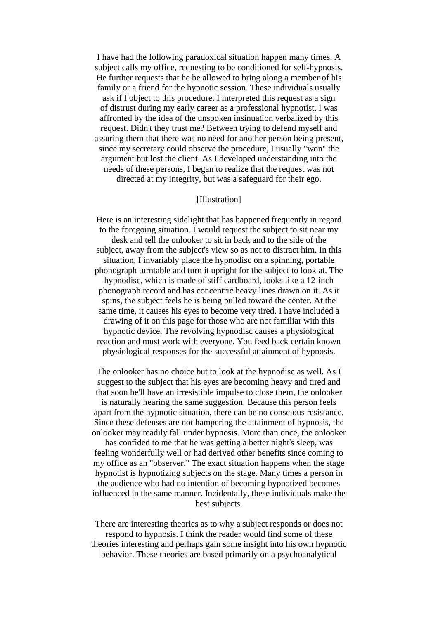I have had the following paradoxical situation happen many times. A subject calls my office, requesting to be conditioned for self-hypnosis. He further requests that he be allowed to bring along a member of his family or a friend for the hypnotic session. These individuals usually ask if I object to this procedure. I interpreted this request as a sign of distrust during my early career as a professional hypnotist. I was affronted by the idea of the unspoken insinuation verbalized by this request. Didn't they trust me? Between trying to defend myself and assuring them that there was no need for another person being present, since my secretary could observe the procedure, I usually "won" the argument but lost the client. As I developed understanding into the needs of these persons, I began to realize that the request was not directed at my integrity, but was a safeguard for their ego.

## [Illustration]

Here is an interesting sidelight that has happened frequently in regard to the foregoing situation. I would request the subject to sit near my desk and tell the onlooker to sit in back and to the side of the subject, away from the subject's view so as not to distract him. In this situation, I invariably place the hypnodisc on a spinning, portable phonograph turntable and turn it upright for the subject to look at. The hypnodisc, which is made of stiff cardboard, looks like a 12-inch phonograph record and has concentric heavy lines drawn on it. As it spins, the subject feels he is being pulled toward the center. At the same time, it causes his eyes to become very tired. I have included a drawing of it on this page for those who are not familiar with this hypnotic device. The revolving hypnodisc causes a physiological reaction and must work with everyone. You feed back certain known physiological responses for the successful attainment of hypnosis.

The onlooker has no choice but to look at the hypnodisc as well. As I suggest to the subject that his eyes are becoming heavy and tired and that soon he'll have an irresistible impulse to close them, the onlooker is naturally hearing the same suggestion. Because this person feels apart from the hypnotic situation, there can be no conscious resistance. Since these defenses are not hampering the attainment of hypnosis, the onlooker may readily fall under hypnosis. More than once, the onlooker

has confided to me that he was getting a better night's sleep, was feeling wonderfully well or had derived other benefits since coming to my office as an "observer." The exact situation happens when the stage hypnotist is hypnotizing subjects on the stage. Many times a person in the audience who had no intention of becoming hypnotized becomes

influenced in the same manner. Incidentally, these individuals make the best subjects.

There are interesting theories as to why a subject responds or does not respond to hypnosis. I think the reader would find some of these theories interesting and perhaps gain some insight into his own hypnotic behavior. These theories are based primarily on a psychoanalytical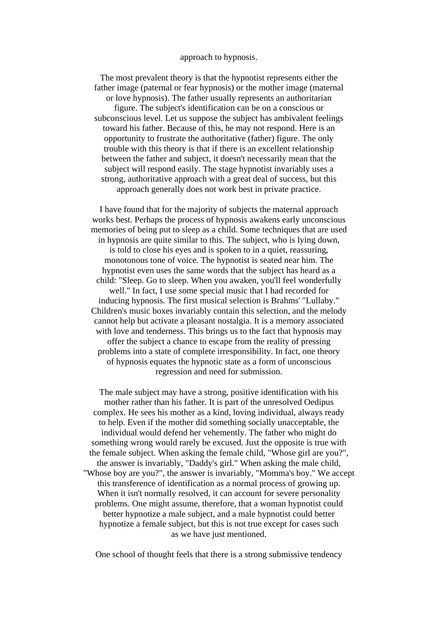#### approach to hypnosis.

The most prevalent theory is that the hypnotist represents either the father image (paternal or fear hypnosis) or the mother image (maternal or love hypnosis). The father usually represents an authoritarian figure. The subject's identification can be on a conscious or subconscious level. Let us suppose the subject has ambivalent feelings toward his father. Because of this, he may not respond. Here is an opportunity to frustrate the authoritative (father) figure. The only trouble with this theory is that if there is an excellent relationship between the father and subject, it doesn't necessarily mean that the subject will respond easily. The stage hypnotist invariably uses a strong, authoritative approach with a great deal of success, but this approach generally does not work best in private practice.

I have found that for the majority of subjects the maternal approach works best. Perhaps the process of hypnosis awakens early unconscious memories of being put to sleep as a child. Some techniques that are used in hypnosis are quite similar to this. The subject, who is lying down, is told to close his eyes and is spoken to in a quiet, reassuring, monotonous tone of voice. The hypnotist is seated near him. The hypnotist even uses the same words that the subject has heard as a child: "Sleep. Go to sleep. When you awaken, you'll feel wonderfully well." In fact, I use some special music that I had recorded for inducing hypnosis. The first musical selection is Brahms' "Lullaby." Children's music boxes invariably contain this selection, and the melody cannot help but activate a pleasant nostalgia. It is a memory associated with love and tenderness. This brings us to the fact that hypnosis may offer the subject a chance to escape from the reality of pressing problems into a state of complete irresponsibility. In fact, one theory of hypnosis equates the hypnotic state as a form of unconscious regression and need for submission.

The male subject may have a strong, positive identification with his mother rather than his father. It is part of the unresolved Oedipus complex. He sees his mother as a kind, loving individual, always ready to help. Even if the mother did something socially unacceptable, the individual would defend her vehemently. The father who might do something wrong would rarely be excused. Just the opposite is true with the female subject. When asking the female child, "Whose girl are you?", the answer is invariably, "Daddy's girl." When asking the male child, "Whose boy are you?", the answer is invariably, "Momma's boy." We accept this transference of identification as a normal process of growing up. When it isn't normally resolved, it can account for severe personality problems. One might assume, therefore, that a woman hypnotist could better hypnotize a male subject, and a male hypnotist could better hypnotize a female subject, but this is not true except for cases such as we have just mentioned.

One school of thought feels that there is a strong submissive tendency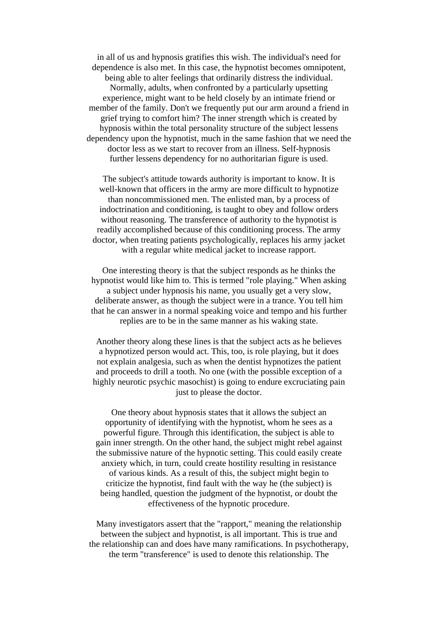in all of us and hypnosis gratifies this wish. The individual's need for dependence is also met. In this case, the hypnotist becomes omnipotent, being able to alter feelings that ordinarily distress the individual. Normally, adults, when confronted by a particularly upsetting experience, might want to be held closely by an intimate friend or member of the family. Don't we frequently put our arm around a friend in grief trying to comfort him? The inner strength which is created by hypnosis within the total personality structure of the subject lessens dependency upon the hypnotist, much in the same fashion that we need the doctor less as we start to recover from an illness. Self-hypnosis further lessens dependency for no authoritarian figure is used.

The subject's attitude towards authority is important to know. It is well-known that officers in the army are more difficult to hypnotize than noncommissioned men. The enlisted man, by a process of indoctrination and conditioning, is taught to obey and follow orders without reasoning. The transference of authority to the hypnotist is readily accomplished because of this conditioning process. The army doctor, when treating patients psychologically, replaces his army jacket with a regular white medical jacket to increase rapport.

One interesting theory is that the subject responds as he thinks the hypnotist would like him to. This is termed "role playing." When asking a subject under hypnosis his name, you usually get a very slow, deliberate answer, as though the subject were in a trance. You tell him that he can answer in a normal speaking voice and tempo and his further replies are to be in the same manner as his waking state.

Another theory along these lines is that the subject acts as he believes a hypnotized person would act. This, too, is role playing, but it does not explain analgesia, such as when the dentist hypnotizes the patient and proceeds to drill a tooth. No one (with the possible exception of a highly neurotic psychic masochist) is going to endure excruciating pain just to please the doctor.

One theory about hypnosis states that it allows the subject an opportunity of identifying with the hypnotist, whom he sees as a powerful figure. Through this identification, the subject is able to gain inner strength. On the other hand, the subject might rebel against the submissive nature of the hypnotic setting. This could easily create anxiety which, in turn, could create hostility resulting in resistance of various kinds. As a result of this, the subject might begin to criticize the hypnotist, find fault with the way he (the subject) is being handled, question the judgment of the hypnotist, or doubt the effectiveness of the hypnotic procedure.

Many investigators assert that the "rapport," meaning the relationship between the subject and hypnotist, is all important. This is true and the relationship can and does have many ramifications. In psychotherapy, the term "transference" is used to denote this relationship. The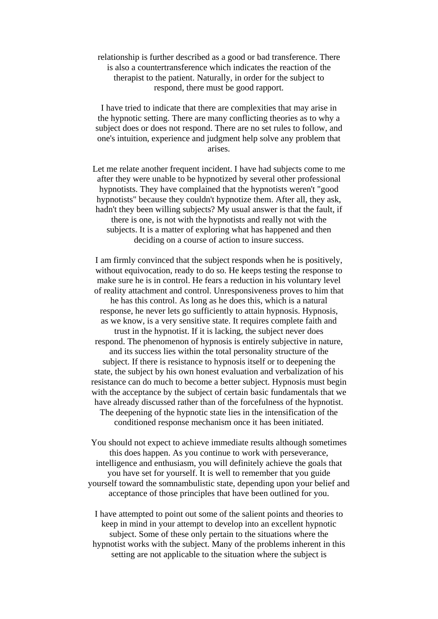relationship is further described as a good or bad transference. There is also a countertransference which indicates the reaction of the therapist to the patient. Naturally, in order for the subject to respond, there must be good rapport.

I have tried to indicate that there are complexities that may arise in the hypnotic setting. There are many conflicting theories as to why a subject does or does not respond. There are no set rules to follow, and one's intuition, experience and judgment help solve any problem that arises.

Let me relate another frequent incident. I have had subjects come to me after they were unable to be hypnotized by several other professional hypnotists. They have complained that the hypnotists weren't "good hypnotists" because they couldn't hypnotize them. After all, they ask, hadn't they been willing subjects? My usual answer is that the fault, if there is one, is not with the hypnotists and really not with the subjects. It is a matter of exploring what has happened and then deciding on a course of action to insure success.

I am firmly convinced that the subject responds when he is positively, without equivocation, ready to do so. He keeps testing the response to make sure he is in control. He fears a reduction in his voluntary level of reality attachment and control. Unresponsiveness proves to him that he has this control. As long as he does this, which is a natural response, he never lets go sufficiently to attain hypnosis. Hypnosis, as we know, is a very sensitive state. It requires complete faith and trust in the hypnotist. If it is lacking, the subject never does respond. The phenomenon of hypnosis is entirely subjective in nature, and its success lies within the total personality structure of the subject. If there is resistance to hypnosis itself or to deepening the state, the subject by his own honest evaluation and verbalization of his resistance can do much to become a better subject. Hypnosis must begin with the acceptance by the subject of certain basic fundamentals that we have already discussed rather than of the forcefulness of the hypnotist. The deepening of the hypnotic state lies in the intensification of the conditioned response mechanism once it has been initiated.

You should not expect to achieve immediate results although sometimes this does happen. As you continue to work with perseverance, intelligence and enthusiasm, you will definitely achieve the goals that you have set for yourself. It is well to remember that you guide yourself toward the somnambulistic state, depending upon your belief and acceptance of those principles that have been outlined for you.

I have attempted to point out some of the salient points and theories to keep in mind in your attempt to develop into an excellent hypnotic subject. Some of these only pertain to the situations where the hypnotist works with the subject. Many of the problems inherent in this setting are not applicable to the situation where the subject is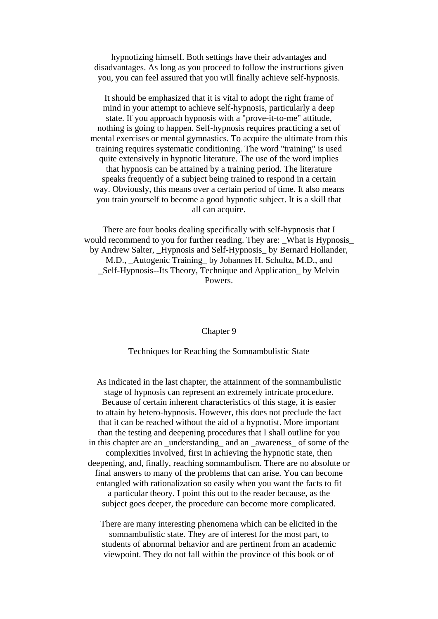hypnotizing himself. Both settings have their advantages and disadvantages. As long as you proceed to follow the instructions given you, you can feel assured that you will finally achieve self-hypnosis.

It should be emphasized that it is vital to adopt the right frame of mind in your attempt to achieve self-hypnosis, particularly a deep state. If you approach hypnosis with a "prove-it-to-me" attitude, nothing is going to happen. Self-hypnosis requires practicing a set of mental exercises or mental gymnastics. To acquire the ultimate from this training requires systematic conditioning. The word "training" is used quite extensively in hypnotic literature. The use of the word implies that hypnosis can be attained by a training period. The literature speaks frequently of a subject being trained to respond in a certain way. Obviously, this means over a certain period of time. It also means you train yourself to become a good hypnotic subject. It is a skill that all can acquire.

There are four books dealing specifically with self-hypnosis that I would recommend to you for further reading. They are: \_What is Hypnosis\_ by Andrew Salter, \_Hypnosis and Self-Hypnosis\_ by Bernard Hollander, M.D., \_Autogenic Training\_ by Johannes H. Schultz, M.D., and \_Self-Hypnosis--Its Theory, Technique and Application\_ by Melvin Powers.

#### Chapter 9

Techniques for Reaching the Somnambulistic State

As indicated in the last chapter, the attainment of the somnambulistic stage of hypnosis can represent an extremely intricate procedure. Because of certain inherent characteristics of this stage, it is easier to attain by hetero-hypnosis. However, this does not preclude the fact that it can be reached without the aid of a hypnotist. More important than the testing and deepening procedures that I shall outline for you in this chapter are an understanding and an awareness of some of the complexities involved, first in achieving the hypnotic state, then deepening, and, finally, reaching somnambulism. There are no absolute or final answers to many of the problems that can arise. You can become entangled with rationalization so easily when you want the facts to fit a particular theory. I point this out to the reader because, as the subject goes deeper, the procedure can become more complicated.

There are many interesting phenomena which can be elicited in the somnambulistic state. They are of interest for the most part, to students of abnormal behavior and are pertinent from an academic viewpoint. They do not fall within the province of this book or of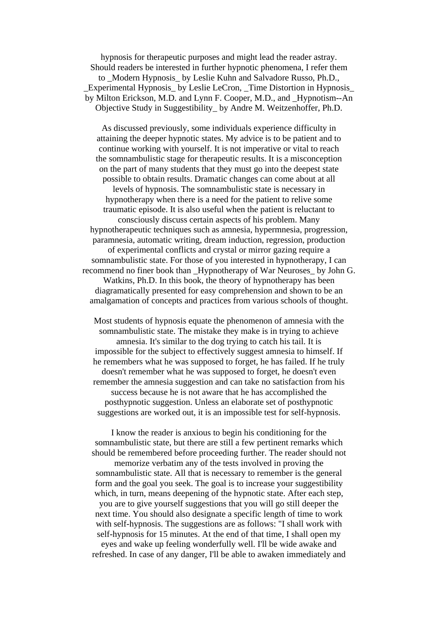hypnosis for therapeutic purposes and might lead the reader astray. Should readers be interested in further hypnotic phenomena, I refer them to Modern Hypnosis by Leslie Kuhn and Salvadore Russo, Ph.D., Experimental Hypnosis by Leslie LeCron, Time Distortion in Hypnosis by Milton Erickson, M.D. and Lynn F. Cooper, M.D., and \_Hypnotism--An Objective Study in Suggestibility\_ by Andre M. Weitzenhoffer, Ph.D.

As discussed previously, some individuals experience difficulty in attaining the deeper hypnotic states. My advice is to be patient and to continue working with yourself. It is not imperative or vital to reach the somnambulistic stage for therapeutic results. It is a misconception on the part of many students that they must go into the deepest state possible to obtain results. Dramatic changes can come about at all levels of hypnosis. The somnambulistic state is necessary in hypnotherapy when there is a need for the patient to relive some traumatic episode. It is also useful when the patient is reluctant to consciously discuss certain aspects of his problem. Many hypnotherapeutic techniques such as amnesia, hypermnesia, progression, paramnesia, automatic writing, dream induction, regression, production of experimental conflicts and crystal or mirror gazing require a somnambulistic state. For those of you interested in hypnotherapy, I can recommend no finer book than \_Hypnotherapy of War Neuroses\_ by John G. Watkins, Ph.D. In this book, the theory of hypnotherapy has been diagramatically presented for easy comprehension and shown to be an amalgamation of concepts and practices from various schools of thought.

Most students of hypnosis equate the phenomenon of amnesia with the somnambulistic state. The mistake they make is in trying to achieve amnesia. It's similar to the dog trying to catch his tail. It is impossible for the subject to effectively suggest amnesia to himself. If he remembers what he was supposed to forget, he has failed. If he truly doesn't remember what he was supposed to forget, he doesn't even remember the amnesia suggestion and can take no satisfaction from his success because he is not aware that he has accomplished the posthypnotic suggestion. Unless an elaborate set of posthypnotic suggestions are worked out, it is an impossible test for self-hypnosis.

I know the reader is anxious to begin his conditioning for the somnambulistic state, but there are still a few pertinent remarks which should be remembered before proceeding further. The reader should not memorize verbatim any of the tests involved in proving the somnambulistic state. All that is necessary to remember is the general form and the goal you seek. The goal is to increase your suggestibility which, in turn, means deepening of the hypnotic state. After each step, you are to give yourself suggestions that you will go still deeper the next time. You should also designate a specific length of time to work with self-hypnosis. The suggestions are as follows: "I shall work with self-hypnosis for 15 minutes. At the end of that time, I shall open my eyes and wake up feeling wonderfully well. I'll be wide awake and

refreshed. In case of any danger, I'll be able to awaken immediately and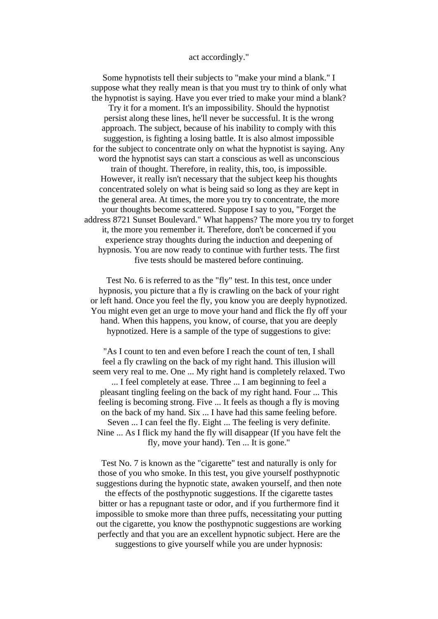## act accordingly."

Some hypnotists tell their subjects to "make your mind a blank." I suppose what they really mean is that you must try to think of only what the hypnotist is saying. Have you ever tried to make your mind a blank?

Try it for a moment. It's an impossibility. Should the hypnotist persist along these lines, he'll never be successful. It is the wrong approach. The subject, because of his inability to comply with this suggestion, is fighting a losing battle. It is also almost impossible for the subject to concentrate only on what the hypnotist is saying. Any word the hypnotist says can start a conscious as well as unconscious train of thought. Therefore, in reality, this, too, is impossible. However, it really isn't necessary that the subject keep his thoughts concentrated solely on what is being said so long as they are kept in the general area. At times, the more you try to concentrate, the more your thoughts become scattered. Suppose I say to you, "Forget the address 8721 Sunset Boulevard." What happens? The more you try to forget it, the more you remember it. Therefore, don't be concerned if you experience stray thoughts during the induction and deepening of hypnosis. You are now ready to continue with further tests. The first five tests should be mastered before continuing.

Test No. 6 is referred to as the "fly" test. In this test, once under hypnosis, you picture that a fly is crawling on the back of your right or left hand. Once you feel the fly, you know you are deeply hypnotized. You might even get an urge to move your hand and flick the fly off your hand. When this happens, you know, of course, that you are deeply hypnotized. Here is a sample of the type of suggestions to give:

"As I count to ten and even before I reach the count of ten, I shall feel a fly crawling on the back of my right hand. This illusion will seem very real to me. One ... My right hand is completely relaxed. Two ... I feel completely at ease. Three ... I am beginning to feel a pleasant tingling feeling on the back of my right hand. Four ... This feeling is becoming strong. Five ... It feels as though a fly is moving on the back of my hand. Six ... I have had this same feeling before. Seven ... I can feel the fly. Eight ... The feeling is very definite. Nine ... As I flick my hand the fly will disappear (If you have felt the fly, move your hand). Ten ... It is gone."

Test No. 7 is known as the "cigarette" test and naturally is only for those of you who smoke. In this test, you give yourself posthypnotic suggestions during the hypnotic state, awaken yourself, and then note the effects of the posthypnotic suggestions. If the cigarette tastes bitter or has a repugnant taste or odor, and if you furthermore find it impossible to smoke more than three puffs, necessitating your putting out the cigarette, you know the posthypnotic suggestions are working perfectly and that you are an excellent hypnotic subject. Here are the suggestions to give yourself while you are under hypnosis: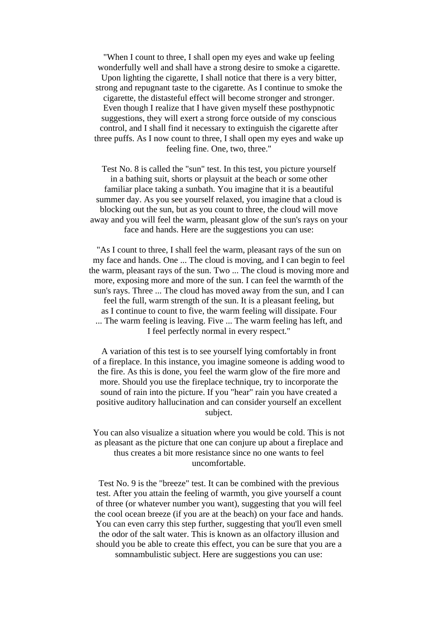"When I count to three, I shall open my eyes and wake up feeling wonderfully well and shall have a strong desire to smoke a cigarette. Upon lighting the cigarette, I shall notice that there is a very bitter, strong and repugnant taste to the cigarette. As I continue to smoke the cigarette, the distasteful effect will become stronger and stronger. Even though I realize that I have given myself these posthypnotic suggestions, they will exert a strong force outside of my conscious control, and I shall find it necessary to extinguish the cigarette after three puffs. As I now count to three, I shall open my eyes and wake up feeling fine. One, two, three."

Test No. 8 is called the "sun" test. In this test, you picture yourself in a bathing suit, shorts or playsuit at the beach or some other familiar place taking a sunbath. You imagine that it is a beautiful summer day. As you see yourself relaxed, you imagine that a cloud is blocking out the sun, but as you count to three, the cloud will move away and you will feel the warm, pleasant glow of the sun's rays on your face and hands. Here are the suggestions you can use:

"As I count to three, I shall feel the warm, pleasant rays of the sun on my face and hands. One ... The cloud is moving, and I can begin to feel the warm, pleasant rays of the sun. Two ... The cloud is moving more and more, exposing more and more of the sun. I can feel the warmth of the sun's rays. Three ... The cloud has moved away from the sun, and I can feel the full, warm strength of the sun. It is a pleasant feeling, but as I continue to count to five, the warm feeling will dissipate. Four ... The warm feeling is leaving. Five ... The warm feeling has left, and I feel perfectly normal in every respect."

A variation of this test is to see yourself lying comfortably in front of a fireplace. In this instance, you imagine someone is adding wood to the fire. As this is done, you feel the warm glow of the fire more and more. Should you use the fireplace technique, try to incorporate the sound of rain into the picture. If you "hear" rain you have created a positive auditory hallucination and can consider yourself an excellent subject.

You can also visualize a situation where you would be cold. This is not as pleasant as the picture that one can conjure up about a fireplace and thus creates a bit more resistance since no one wants to feel uncomfortable.

Test No. 9 is the "breeze" test. It can be combined with the previous test. After you attain the feeling of warmth, you give yourself a count of three (or whatever number you want), suggesting that you will feel the cool ocean breeze (if you are at the beach) on your face and hands. You can even carry this step further, suggesting that you'll even smell the odor of the salt water. This is known as an olfactory illusion and should you be able to create this effect, you can be sure that you are a somnambulistic subject. Here are suggestions you can use: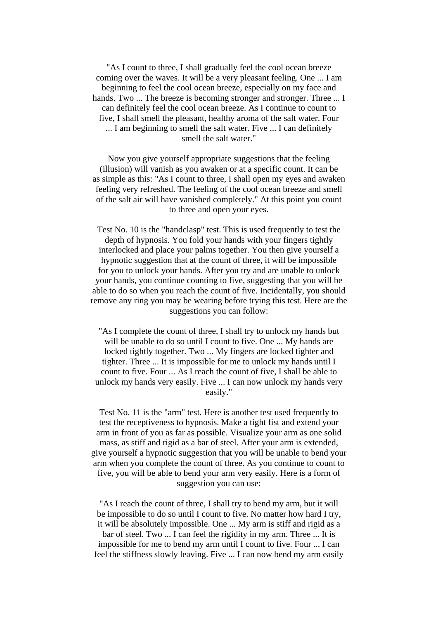"As I count to three, I shall gradually feel the cool ocean breeze coming over the waves. It will be a very pleasant feeling. One ... I am beginning to feel the cool ocean breeze, especially on my face and hands. Two ... The breeze is becoming stronger and stronger. Three ... I can definitely feel the cool ocean breeze. As I continue to count to five, I shall smell the pleasant, healthy aroma of the salt water. Four ... I am beginning to smell the salt water. Five ... I can definitely smell the salt water."

Now you give yourself appropriate suggestions that the feeling (illusion) will vanish as you awaken or at a specific count. It can be as simple as this: "As I count to three, I shall open my eyes and awaken feeling very refreshed. The feeling of the cool ocean breeze and smell of the salt air will have vanished completely." At this point you count to three and open your eyes.

Test No. 10 is the "handclasp" test. This is used frequently to test the depth of hypnosis. You fold your hands with your fingers tightly interlocked and place your palms together. You then give yourself a hypnotic suggestion that at the count of three, it will be impossible for you to unlock your hands. After you try and are unable to unlock your hands, you continue counting to five, suggesting that you will be able to do so when you reach the count of five. Incidentally, you should remove any ring you may be wearing before trying this test. Here are the suggestions you can follow:

"As I complete the count of three, I shall try to unlock my hands but will be unable to do so until I count to five. One ... My hands are locked tightly together. Two ... My fingers are locked tighter and tighter. Three ... It is impossible for me to unlock my hands until I count to five. Four ... As I reach the count of five, I shall be able to unlock my hands very easily. Five ... I can now unlock my hands very easily."

Test No. 11 is the "arm" test. Here is another test used frequently to test the receptiveness to hypnosis. Make a tight fist and extend your arm in front of you as far as possible. Visualize your arm as one solid mass, as stiff and rigid as a bar of steel. After your arm is extended, give yourself a hypnotic suggestion that you will be unable to bend your arm when you complete the count of three. As you continue to count to five, you will be able to bend your arm very easily. Here is a form of suggestion you can use:

"As I reach the count of three, I shall try to bend my arm, but it will be impossible to do so until I count to five. No matter how hard I try, it will be absolutely impossible. One ... My arm is stiff and rigid as a bar of steel. Two ... I can feel the rigidity in my arm. Three ... It is impossible for me to bend my arm until I count to five. Four ... I can feel the stiffness slowly leaving. Five ... I can now bend my arm easily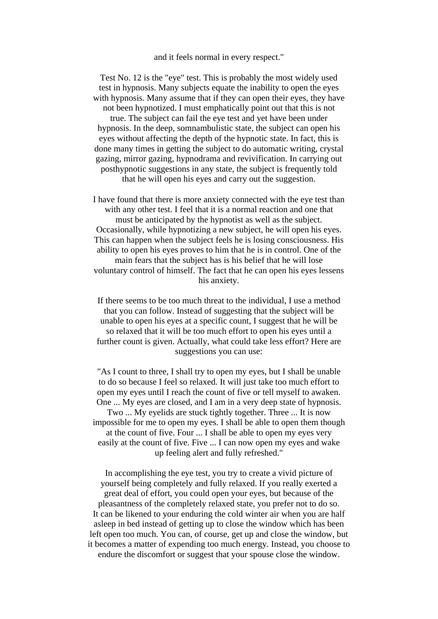## and it feels normal in every respect."

Test No. 12 is the "eye" test. This is probably the most widely used test in hypnosis. Many subjects equate the inability to open the eyes with hypnosis. Many assume that if they can open their eyes, they have not been hypnotized. I must emphatically point out that this is not true. The subject can fail the eye test and yet have been under hypnosis. In the deep, somnambulistic state, the subject can open his eyes without affecting the depth of the hypnotic state. In fact, this is done many times in getting the subject to do automatic writing, crystal gazing, mirror gazing, hypnodrama and revivification. In carrying out posthypnotic suggestions in any state, the subject is frequently told that he will open his eyes and carry out the suggestion.

I have found that there is more anxiety connected with the eye test than with any other test. I feel that it is a normal reaction and one that must be anticipated by the hypnotist as well as the subject. Occasionally, while hypnotizing a new subject, he will open his eyes. This can happen when the subject feels he is losing consciousness. His ability to open his eyes proves to him that he is in control. One of the main fears that the subject has is his belief that he will lose voluntary control of himself. The fact that he can open his eyes lessens his anxiety.

If there seems to be too much threat to the individual, I use a method that you can follow. Instead of suggesting that the subject will be unable to open his eyes at a specific count, I suggest that he will be so relaxed that it will be too much effort to open his eyes until a further count is given. Actually, what could take less effort? Here are suggestions you can use:

"As I count to three, I shall try to open my eyes, but I shall be unable to do so because I feel so relaxed. It will just take too much effort to open my eyes until I reach the count of five or tell myself to awaken. One ... My eyes are closed, and I am in a very deep state of hypnosis. Two ... My eyelids are stuck tightly together. Three ... It is now impossible for me to open my eyes. I shall be able to open them though at the count of five. Four ... I shall be able to open my eyes very easily at the count of five. Five ... I can now open my eyes and wake up feeling alert and fully refreshed."

In accomplishing the eye test, you try to create a vivid picture of yourself being completely and fully relaxed. If you really exerted a great deal of effort, you could open your eyes, but because of the pleasantness of the completely relaxed state, you prefer not to do so. It can be likened to your enduring the cold winter air when you are half asleep in bed instead of getting up to close the window which has been left open too much. You can, of course, get up and close the window, but it becomes a matter of expending too much energy. Instead, you choose to endure the discomfort or suggest that your spouse close the window.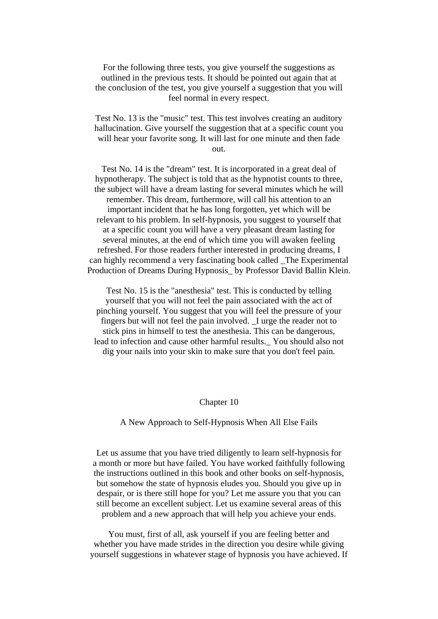For the following three tests, you give yourself the suggestions as outlined in the previous tests. It should be pointed out again that at the conclusion of the test, you give yourself a suggestion that you will feel normal in every respect.

Test No. 13 is the "music" test. This test involves creating an auditory hallucination. Give yourself the suggestion that at a specific count you will hear your favorite song. It will last for one minute and then fade out.

Test No. 14 is the "dream" test. It is incorporated in a great deal of hypnotherapy. The subject is told that as the hypnotist counts to three, the subject will have a dream lasting for several minutes which he will remember. This dream, furthermore, will call his attention to an important incident that he has long forgotten, yet which will be relevant to his problem. In self-hypnosis, you suggest to yourself that at a specific count you will have a very pleasant dream lasting for several minutes, at the end of which time you will awaken feeling refreshed. For those readers further interested in producing dreams, I can highly recommend a very fascinating book called \_The Experimental Production of Dreams During Hypnosis by Professor David Ballin Klein.

Test No. 15 is the "anesthesia" test. This is conducted by telling yourself that you will not feel the pain associated with the act of pinching yourself. You suggest that you will feel the pressure of your fingers but will not feel the pain involved. \_I urge the reader not to stick pins in himself to test the anesthesia. This can be dangerous, lead to infection and cause other harmful results.\_ You should also not dig your nails into your skin to make sure that you don't feel pain.

#### Chapter 10

#### A New Approach to Self-Hypnosis When All Else Fails

Let us assume that you have tried diligently to learn self-hypnosis for a month or more but have failed. You have worked faithfully following the instructions outlined in this book and other books on self-hypnosis, but somehow the state of hypnosis eludes you. Should you give up in despair, or is there still hope for you? Let me assure you that you can still become an excellent subject. Let us examine several areas of this problem and a new approach that will help you achieve your ends.

You must, first of all, ask yourself if you are feeling better and whether you have made strides in the direction you desire while giving yourself suggestions in whatever stage of hypnosis you have achieved. If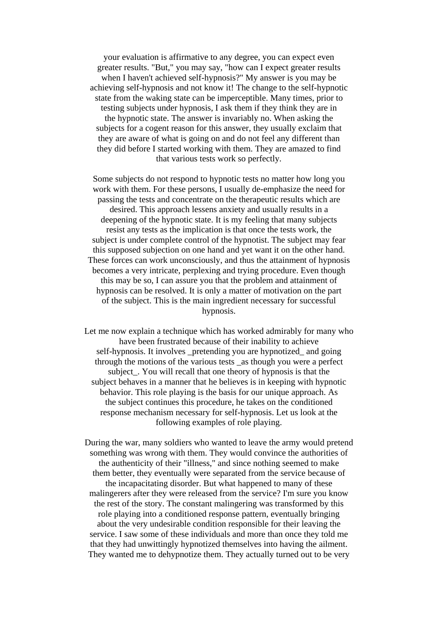your evaluation is affirmative to any degree, you can expect even greater results. "But," you may say, "how can I expect greater results when I haven't achieved self-hypnosis?" My answer is you may be achieving self-hypnosis and not know it! The change to the self-hypnotic state from the waking state can be imperceptible. Many times, prior to testing subjects under hypnosis, I ask them if they think they are in the hypnotic state. The answer is invariably no. When asking the subjects for a cogent reason for this answer, they usually exclaim that they are aware of what is going on and do not feel any different than they did before I started working with them. They are amazed to find that various tests work so perfectly.

Some subjects do not respond to hypnotic tests no matter how long you work with them. For these persons, I usually de-emphasize the need for passing the tests and concentrate on the therapeutic results which are desired. This approach lessens anxiety and usually results in a deepening of the hypnotic state. It is my feeling that many subjects resist any tests as the implication is that once the tests work, the subject is under complete control of the hypnotist. The subject may fear this supposed subjection on one hand and yet want it on the other hand. These forces can work unconsciously, and thus the attainment of hypnosis becomes a very intricate, perplexing and trying procedure. Even though this may be so, I can assure you that the problem and attainment of hypnosis can be resolved. It is only a matter of motivation on the part of the subject. This is the main ingredient necessary for successful hypnosis.

Let me now explain a technique which has worked admirably for many who have been frustrated because of their inability to achieve self-hypnosis. It involves \_pretending you are hypnotized\_ and going through the motions of the various tests \_as though you were a perfect subject\_. You will recall that one theory of hypnosis is that the subject behaves in a manner that he believes is in keeping with hypnotic behavior. This role playing is the basis for our unique approach. As the subject continues this procedure, he takes on the conditioned response mechanism necessary for self-hypnosis. Let us look at the following examples of role playing.

During the war, many soldiers who wanted to leave the army would pretend something was wrong with them. They would convince the authorities of the authenticity of their "illness," and since nothing seemed to make them better, they eventually were separated from the service because of the incapacitating disorder. But what happened to many of these malingerers after they were released from the service? I'm sure you know the rest of the story. The constant malingering was transformed by this role playing into a conditioned response pattern, eventually bringing about the very undesirable condition responsible for their leaving the service. I saw some of these individuals and more than once they told me that they had unwittingly hypnotized themselves into having the ailment. They wanted me to dehypnotize them. They actually turned out to be very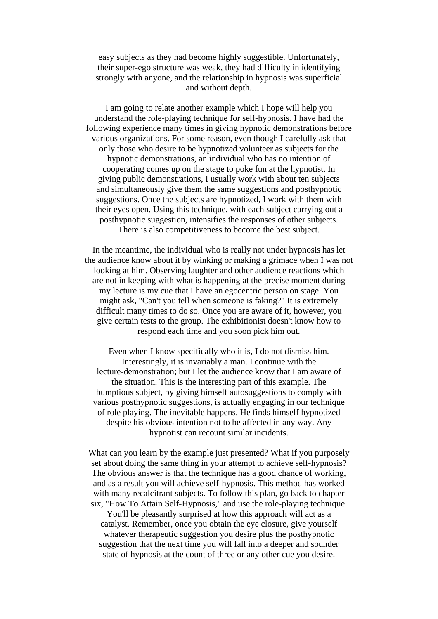easy subjects as they had become highly suggestible. Unfortunately, their super-ego structure was weak, they had difficulty in identifying strongly with anyone, and the relationship in hypnosis was superficial and without depth.

I am going to relate another example which I hope will help you understand the role-playing technique for self-hypnosis. I have had the following experience many times in giving hypnotic demonstrations before various organizations. For some reason, even though I carefully ask that only those who desire to be hypnotized volunteer as subjects for the hypnotic demonstrations, an individual who has no intention of cooperating comes up on the stage to poke fun at the hypnotist. In giving public demonstrations, I usually work with about ten subjects and simultaneously give them the same suggestions and posthypnotic suggestions. Once the subjects are hypnotized, I work with them with their eyes open. Using this technique, with each subject carrying out a posthypnotic suggestion, intensifies the responses of other subjects. There is also competitiveness to become the best subject.

In the meantime, the individual who is really not under hypnosis has let the audience know about it by winking or making a grimace when I was not looking at him. Observing laughter and other audience reactions which are not in keeping with what is happening at the precise moment during my lecture is my cue that I have an egocentric person on stage. You might ask, "Can't you tell when someone is faking?" It is extremely difficult many times to do so. Once you are aware of it, however, you give certain tests to the group. The exhibitionist doesn't know how to respond each time and you soon pick him out.

Even when I know specifically who it is, I do not dismiss him. Interestingly, it is invariably a man. I continue with the lecture-demonstration; but I let the audience know that I am aware of the situation. This is the interesting part of this example. The bumptious subject, by giving himself autosuggestions to comply with various posthypnotic suggestions, is actually engaging in our technique of role playing. The inevitable happens. He finds himself hypnotized despite his obvious intention not to be affected in any way. Any hypnotist can recount similar incidents.

What can you learn by the example just presented? What if you purposely set about doing the same thing in your attempt to achieve self-hypnosis? The obvious answer is that the technique has a good chance of working, and as a result you will achieve self-hypnosis. This method has worked with many recalcitrant subjects. To follow this plan, go back to chapter six, "How To Attain Self-Hypnosis," and use the role-playing technique. You'll be pleasantly surprised at how this approach will act as a catalyst. Remember, once you obtain the eye closure, give yourself whatever therapeutic suggestion you desire plus the posthypnotic

suggestion that the next time you will fall into a deeper and sounder state of hypnosis at the count of three or any other cue you desire.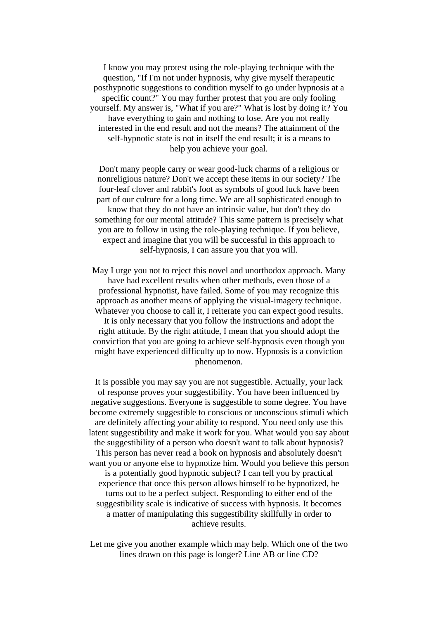I know you may protest using the role-playing technique with the question, "If I'm not under hypnosis, why give myself therapeutic posthypnotic suggestions to condition myself to go under hypnosis at a specific count?" You may further protest that you are only fooling yourself. My answer is, "What if you are?" What is lost by doing it? You have everything to gain and nothing to lose. Are you not really interested in the end result and not the means? The attainment of the self-hypnotic state is not in itself the end result; it is a means to help you achieve your goal.

Don't many people carry or wear good-luck charms of a religious or nonreligious nature? Don't we accept these items in our society? The four-leaf clover and rabbit's foot as symbols of good luck have been part of our culture for a long time. We are all sophisticated enough to know that they do not have an intrinsic value, but don't they do something for our mental attitude? This same pattern is precisely what you are to follow in using the role-playing technique. If you believe, expect and imagine that you will be successful in this approach to self-hypnosis, I can assure you that you will.

May I urge you not to reject this novel and unorthodox approach. Many have had excellent results when other methods, even those of a professional hypnotist, have failed. Some of you may recognize this approach as another means of applying the visual-imagery technique. Whatever you choose to call it, I reiterate you can expect good results. It is only necessary that you follow the instructions and adopt the right attitude. By the right attitude, I mean that you should adopt the conviction that you are going to achieve self-hypnosis even though you might have experienced difficulty up to now. Hypnosis is a conviction phenomenon.

It is possible you may say you are not suggestible. Actually, your lack of response proves your suggestibility. You have been influenced by negative suggestions. Everyone is suggestible to some degree. You have become extremely suggestible to conscious or unconscious stimuli which are definitely affecting your ability to respond. You need only use this latent suggestibility and make it work for you. What would you say about the suggestibility of a person who doesn't want to talk about hypnosis? This person has never read a book on hypnosis and absolutely doesn't want you or anyone else to hypnotize him. Would you believe this person is a potentially good hypnotic subject? I can tell you by practical experience that once this person allows himself to be hypnotized, he turns out to be a perfect subject. Responding to either end of the suggestibility scale is indicative of success with hypnosis. It becomes a matter of manipulating this suggestibility skillfully in order to achieve results.

Let me give you another example which may help. Which one of the two lines drawn on this page is longer? Line AB or line CD?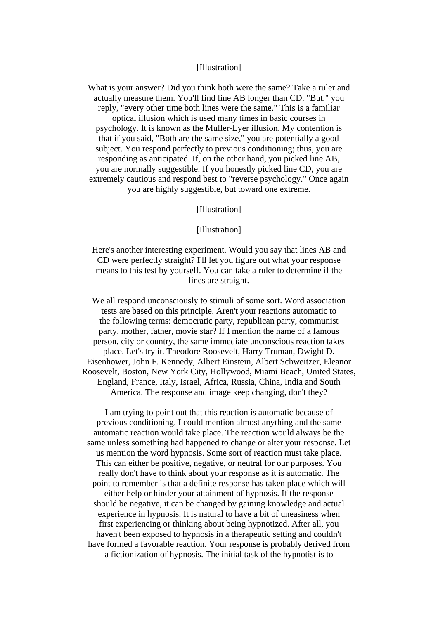## [Illustration]

What is your answer? Did you think both were the same? Take a ruler and actually measure them. You'll find line AB longer than CD. "But," you reply, "every other time both lines were the same." This is a familiar optical illusion which is used many times in basic courses in psychology. It is known as the Muller-Lyer illusion. My contention is that if you said, "Both are the same size," you are potentially a good subject. You respond perfectly to previous conditioning; thus, you are responding as anticipated. If, on the other hand, you picked line AB, you are normally suggestible. If you honestly picked line CD, you are extremely cautious and respond best to "reverse psychology." Once again you are highly suggestible, but toward one extreme.

[Illustration]

#### [Illustration]

Here's another interesting experiment. Would you say that lines AB and CD were perfectly straight? I'll let you figure out what your response means to this test by yourself. You can take a ruler to determine if the lines are straight.

We all respond unconsciously to stimuli of some sort. Word association tests are based on this principle. Aren't your reactions automatic to the following terms: democratic party, republican party, communist party, mother, father, movie star? If I mention the name of a famous person, city or country, the same immediate unconscious reaction takes place. Let's try it. Theodore Roosevelt, Harry Truman, Dwight D. Eisenhower, John F. Kennedy, Albert Einstein, Albert Schweitzer, Eleanor Roosevelt, Boston, New York City, Hollywood, Miami Beach, United States, England, France, Italy, Israel, Africa, Russia, China, India and South America. The response and image keep changing, don't they?

I am trying to point out that this reaction is automatic because of previous conditioning. I could mention almost anything and the same automatic reaction would take place. The reaction would always be the same unless something had happened to change or alter your response. Let us mention the word hypnosis. Some sort of reaction must take place. This can either be positive, negative, or neutral for our purposes. You really don't have to think about your response as it is automatic. The point to remember is that a definite response has taken place which will either help or hinder your attainment of hypnosis. If the response should be negative, it can be changed by gaining knowledge and actual experience in hypnosis. It is natural to have a bit of uneasiness when first experiencing or thinking about being hypnotized. After all, you haven't been exposed to hypnosis in a therapeutic setting and couldn't have formed a favorable reaction. Your response is probably derived from a fictionization of hypnosis. The initial task of the hypnotist is to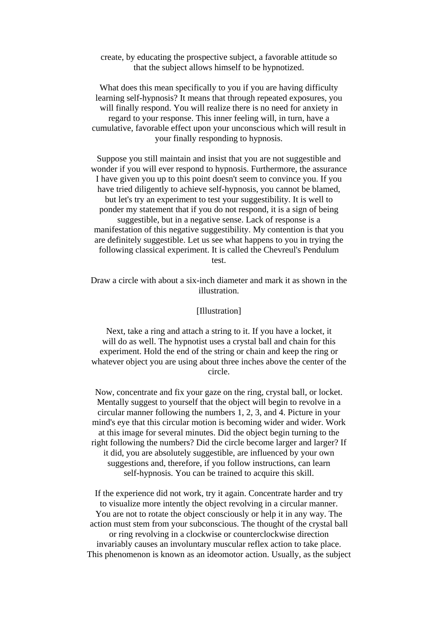create, by educating the prospective subject, a favorable attitude so that the subject allows himself to be hypnotized.

What does this mean specifically to you if you are having difficulty learning self-hypnosis? It means that through repeated exposures, you will finally respond. You will realize there is no need for anxiety in regard to your response. This inner feeling will, in turn, have a cumulative, favorable effect upon your unconscious which will result in your finally responding to hypnosis.

Suppose you still maintain and insist that you are not suggestible and wonder if you will ever respond to hypnosis. Furthermore, the assurance I have given you up to this point doesn't seem to convince you. If you have tried diligently to achieve self-hypnosis, you cannot be blamed, but let's try an experiment to test your suggestibility. It is well to ponder my statement that if you do not respond, it is a sign of being suggestible, but in a negative sense. Lack of response is a manifestation of this negative suggestibility. My contention is that you are definitely suggestible. Let us see what happens to you in trying the following classical experiment. It is called the Chevreul's Pendulum test.

Draw a circle with about a six-inch diameter and mark it as shown in the illustration.

## [Illustration]

Next, take a ring and attach a string to it. If you have a locket, it will do as well. The hypnotist uses a crystal ball and chain for this experiment. Hold the end of the string or chain and keep the ring or whatever object you are using about three inches above the center of the circle.

Now, concentrate and fix your gaze on the ring, crystal ball, or locket. Mentally suggest to yourself that the object will begin to revolve in a circular manner following the numbers 1, 2, 3, and 4. Picture in your mind's eye that this circular motion is becoming wider and wider. Work at this image for several minutes. Did the object begin turning to the right following the numbers? Did the circle become larger and larger? If it did, you are absolutely suggestible, are influenced by your own suggestions and, therefore, if you follow instructions, can learn self-hypnosis. You can be trained to acquire this skill.

If the experience did not work, try it again. Concentrate harder and try to visualize more intently the object revolving in a circular manner. You are not to rotate the object consciously or help it in any way. The action must stem from your subconscious. The thought of the crystal ball or ring revolving in a clockwise or counterclockwise direction invariably causes an involuntary muscular reflex action to take place. This phenomenon is known as an ideomotor action. Usually, as the subject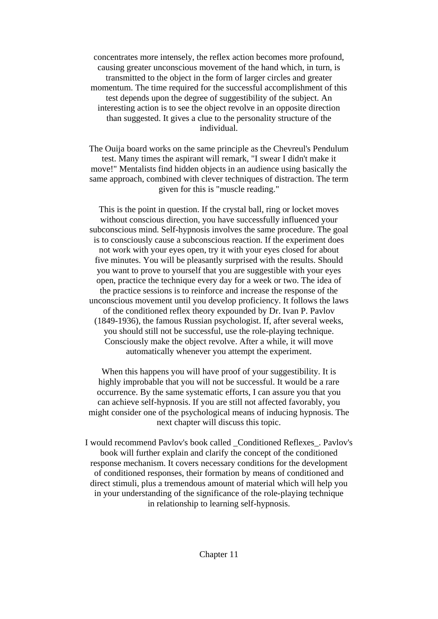concentrates more intensely, the reflex action becomes more profound, causing greater unconscious movement of the hand which, in turn, is transmitted to the object in the form of larger circles and greater momentum. The time required for the successful accomplishment of this test depends upon the degree of suggestibility of the subject. An interesting action is to see the object revolve in an opposite direction than suggested. It gives a clue to the personality structure of the individual.

The Ouija board works on the same principle as the Chevreul's Pendulum test. Many times the aspirant will remark, "I swear I didn't make it move!" Mentalists find hidden objects in an audience using basically the same approach, combined with clever techniques of distraction. The term given for this is "muscle reading."

This is the point in question. If the crystal ball, ring or locket moves without conscious direction, you have successfully influenced your subconscious mind. Self-hypnosis involves the same procedure. The goal is to consciously cause a subconscious reaction. If the experiment does not work with your eyes open, try it with your eyes closed for about five minutes. You will be pleasantly surprised with the results. Should you want to prove to yourself that you are suggestible with your eyes open, practice the technique every day for a week or two. The idea of the practice sessions is to reinforce and increase the response of the unconscious movement until you develop proficiency. It follows the laws of the conditioned reflex theory expounded by Dr. Ivan P. Pavlov (1849-1936), the famous Russian psychologist. If, after several weeks, you should still not be successful, use the role-playing technique. Consciously make the object revolve. After a while, it will move automatically whenever you attempt the experiment.

When this happens you will have proof of your suggestibility. It is highly improbable that you will not be successful. It would be a rare occurrence. By the same systematic efforts, I can assure you that you can achieve self-hypnosis. If you are still not affected favorably, you might consider one of the psychological means of inducing hypnosis. The next chapter will discuss this topic.

I would recommend Pavlov's book called \_Conditioned Reflexes\_. Pavlov's book will further explain and clarify the concept of the conditioned response mechanism. It covers necessary conditions for the development of conditioned responses, their formation by means of conditioned and direct stimuli, plus a tremendous amount of material which will help you in your understanding of the significance of the role-playing technique in relationship to learning self-hypnosis.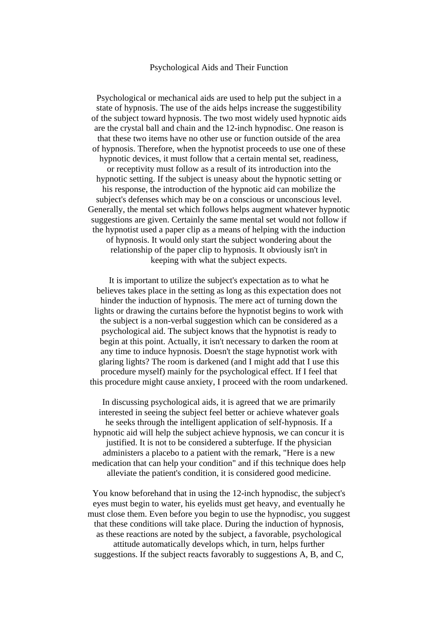## Psychological Aids and Their Function

Psychological or mechanical aids are used to help put the subject in a state of hypnosis. The use of the aids helps increase the suggestibility of the subject toward hypnosis. The two most widely used hypnotic aids are the crystal ball and chain and the 12-inch hypnodisc. One reason is that these two items have no other use or function outside of the area of hypnosis. Therefore, when the hypnotist proceeds to use one of these hypnotic devices, it must follow that a certain mental set, readiness, or receptivity must follow as a result of its introduction into the hypnotic setting. If the subject is uneasy about the hypnotic setting or his response, the introduction of the hypnotic aid can mobilize the subject's defenses which may be on a conscious or unconscious level. Generally, the mental set which follows helps augment whatever hypnotic suggestions are given. Certainly the same mental set would not follow if the hypnotist used a paper clip as a means of helping with the induction of hypnosis. It would only start the subject wondering about the relationship of the paper clip to hypnosis. It obviously isn't in keeping with what the subject expects.

It is important to utilize the subject's expectation as to what he believes takes place in the setting as long as this expectation does not hinder the induction of hypnosis. The mere act of turning down the lights or drawing the curtains before the hypnotist begins to work with the subject is a non-verbal suggestion which can be considered as a psychological aid. The subject knows that the hypnotist is ready to begin at this point. Actually, it isn't necessary to darken the room at any time to induce hypnosis. Doesn't the stage hypnotist work with glaring lights? The room is darkened (and I might add that I use this procedure myself) mainly for the psychological effect. If I feel that this procedure might cause anxiety, I proceed with the room undarkened.

In discussing psychological aids, it is agreed that we are primarily interested in seeing the subject feel better or achieve whatever goals he seeks through the intelligent application of self-hypnosis. If a hypnotic aid will help the subject achieve hypnosis, we can concur it is justified. It is not to be considered a subterfuge. If the physician administers a placebo to a patient with the remark, "Here is a new medication that can help your condition" and if this technique does help alleviate the patient's condition, it is considered good medicine.

You know beforehand that in using the 12-inch hypnodisc, the subject's eyes must begin to water, his eyelids must get heavy, and eventually he must close them. Even before you begin to use the hypnodisc, you suggest that these conditions will take place. During the induction of hypnosis, as these reactions are noted by the subject, a favorable, psychological attitude automatically develops which, in turn, helps further suggestions. If the subject reacts favorably to suggestions A, B, and C,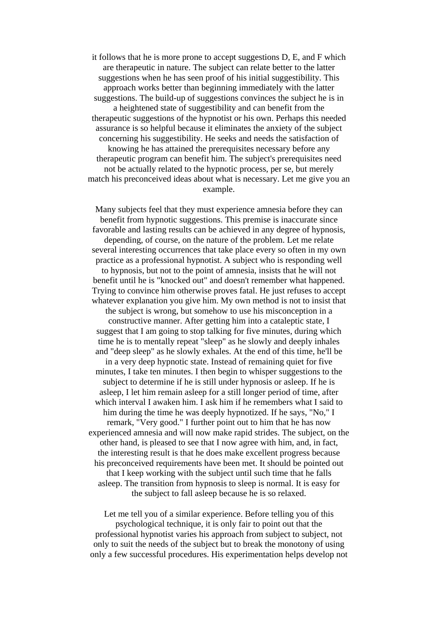it follows that he is more prone to accept suggestions D, E, and F which are therapeutic in nature. The subject can relate better to the latter suggestions when he has seen proof of his initial suggestibility. This approach works better than beginning immediately with the latter suggestions. The build-up of suggestions convinces the subject he is in a heightened state of suggestibility and can benefit from the therapeutic suggestions of the hypnotist or his own. Perhaps this needed assurance is so helpful because it eliminates the anxiety of the subject concerning his suggestibility. He seeks and needs the satisfaction of knowing he has attained the prerequisites necessary before any therapeutic program can benefit him. The subject's prerequisites need not be actually related to the hypnotic process, per se, but merely match his preconceived ideas about what is necessary. Let me give you an example.

Many subjects feel that they must experience amnesia before they can benefit from hypnotic suggestions. This premise is inaccurate since favorable and lasting results can be achieved in any degree of hypnosis, depending, of course, on the nature of the problem. Let me relate several interesting occurrences that take place every so often in my own practice as a professional hypnotist. A subject who is responding well to hypnosis, but not to the point of amnesia, insists that he will not benefit until he is "knocked out" and doesn't remember what happened. Trying to convince him otherwise proves fatal. He just refuses to accept whatever explanation you give him. My own method is not to insist that the subject is wrong, but somehow to use his misconception in a constructive manner. After getting him into a cataleptic state, I suggest that I am going to stop talking for five minutes, during which time he is to mentally repeat "sleep" as he slowly and deeply inhales and "deep sleep" as he slowly exhales. At the end of this time, he'll be in a very deep hypnotic state. Instead of remaining quiet for five minutes, I take ten minutes. I then begin to whisper suggestions to the subject to determine if he is still under hypnosis or asleep. If he is asleep, I let him remain asleep for a still longer period of time, after which interval I awaken him. I ask him if he remembers what I said to him during the time he was deeply hypnotized. If he says, "No," I remark, "Very good." I further point out to him that he has now experienced amnesia and will now make rapid strides. The subject, on the other hand, is pleased to see that I now agree with him, and, in fact, the interesting result is that he does make excellent progress because his preconceived requirements have been met. It should be pointed out that I keep working with the subject until such time that he falls asleep. The transition from hypnosis to sleep is normal. It is easy for the subject to fall asleep because he is so relaxed.

Let me tell you of a similar experience. Before telling you of this psychological technique, it is only fair to point out that the professional hypnotist varies his approach from subject to subject, not only to suit the needs of the subject but to break the monotony of using only a few successful procedures. His experimentation helps develop not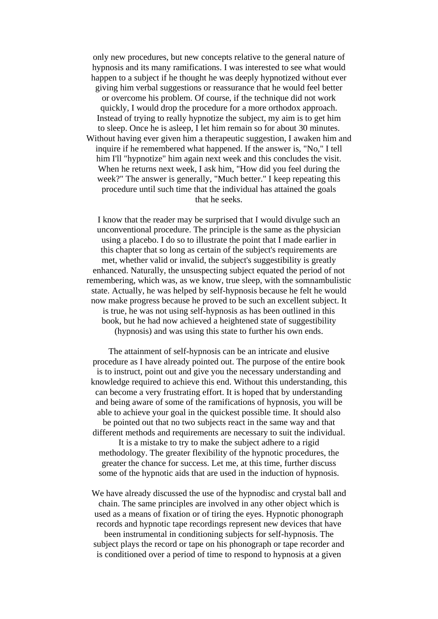only new procedures, but new concepts relative to the general nature of hypnosis and its many ramifications. I was interested to see what would happen to a subject if he thought he was deeply hypnotized without ever giving him verbal suggestions or reassurance that he would feel better or overcome his problem. Of course, if the technique did not work quickly, I would drop the procedure for a more orthodox approach. Instead of trying to really hypnotize the subject, my aim is to get him to sleep. Once he is asleep, I let him remain so for about 30 minutes. Without having ever given him a therapeutic suggestion, I awaken him and inquire if he remembered what happened. If the answer is, "No," I tell him I'll "hypnotize" him again next week and this concludes the visit. When he returns next week, I ask him, "How did you feel during the week?" The answer is generally, "Much better." I keep repeating this procedure until such time that the individual has attained the goals that he seeks.

I know that the reader may be surprised that I would divulge such an unconventional procedure. The principle is the same as the physician using a placebo. I do so to illustrate the point that I made earlier in this chapter that so long as certain of the subject's requirements are met, whether valid or invalid, the subject's suggestibility is greatly enhanced. Naturally, the unsuspecting subject equated the period of not remembering, which was, as we know, true sleep, with the somnambulistic state. Actually, he was helped by self-hypnosis because he felt he would now make progress because he proved to be such an excellent subject. It is true, he was not using self-hypnosis as has been outlined in this book, but he had now achieved a heightened state of suggestibility (hypnosis) and was using this state to further his own ends.

The attainment of self-hypnosis can be an intricate and elusive procedure as I have already pointed out. The purpose of the entire book is to instruct, point out and give you the necessary understanding and knowledge required to achieve this end. Without this understanding, this can become a very frustrating effort. It is hoped that by understanding and being aware of some of the ramifications of hypnosis, you will be able to achieve your goal in the quickest possible time. It should also be pointed out that no two subjects react in the same way and that different methods and requirements are necessary to suit the individual.

It is a mistake to try to make the subject adhere to a rigid methodology. The greater flexibility of the hypnotic procedures, the greater the chance for success. Let me, at this time, further discuss some of the hypnotic aids that are used in the induction of hypnosis.

We have already discussed the use of the hypnodisc and crystal ball and chain. The same principles are involved in any other object which is used as a means of fixation or of tiring the eyes. Hypnotic phonograph records and hypnotic tape recordings represent new devices that have been instrumental in conditioning subjects for self-hypnosis. The subject plays the record or tape on his phonograph or tape recorder and is conditioned over a period of time to respond to hypnosis at a given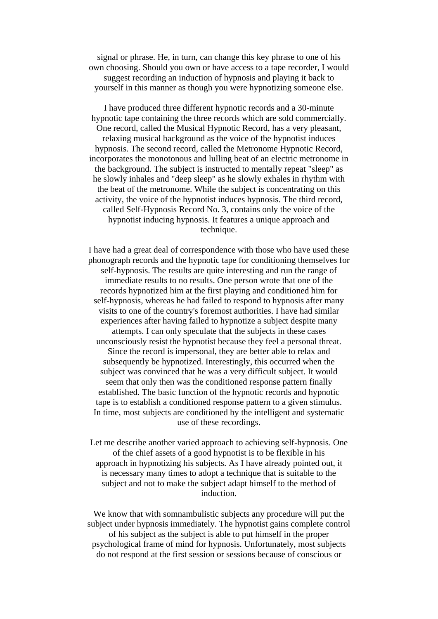signal or phrase. He, in turn, can change this key phrase to one of his own choosing. Should you own or have access to a tape recorder, I would suggest recording an induction of hypnosis and playing it back to yourself in this manner as though you were hypnotizing someone else.

I have produced three different hypnotic records and a 30-minute hypnotic tape containing the three records which are sold commercially. One record, called the Musical Hypnotic Record, has a very pleasant, relaxing musical background as the voice of the hypnotist induces hypnosis. The second record, called the Metronome Hypnotic Record, incorporates the monotonous and lulling beat of an electric metronome in the background. The subject is instructed to mentally repeat "sleep" as he slowly inhales and "deep sleep" as he slowly exhales in rhythm with the beat of the metronome. While the subject is concentrating on this activity, the voice of the hypnotist induces hypnosis. The third record, called Self-Hypnosis Record No. 3, contains only the voice of the hypnotist inducing hypnosis. It features a unique approach and technique.

I have had a great deal of correspondence with those who have used these phonograph records and the hypnotic tape for conditioning themselves for self-hypnosis. The results are quite interesting and run the range of immediate results to no results. One person wrote that one of the records hypnotized him at the first playing and conditioned him for self-hypnosis, whereas he had failed to respond to hypnosis after many visits to one of the country's foremost authorities. I have had similar experiences after having failed to hypnotize a subject despite many attempts. I can only speculate that the subjects in these cases unconsciously resist the hypnotist because they feel a personal threat. Since the record is impersonal, they are better able to relax and subsequently be hypnotized. Interestingly, this occurred when the subject was convinced that he was a very difficult subject. It would seem that only then was the conditioned response pattern finally established. The basic function of the hypnotic records and hypnotic tape is to establish a conditioned response pattern to a given stimulus. In time, most subjects are conditioned by the intelligent and systematic use of these recordings.

Let me describe another varied approach to achieving self-hypnosis. One of the chief assets of a good hypnotist is to be flexible in his approach in hypnotizing his subjects. As I have already pointed out, it is necessary many times to adopt a technique that is suitable to the subject and not to make the subject adapt himself to the method of induction.

We know that with somnambulistic subjects any procedure will put the subject under hypnosis immediately. The hypnotist gains complete control of his subject as the subject is able to put himself in the proper psychological frame of mind for hypnosis. Unfortunately, most subjects do not respond at the first session or sessions because of conscious or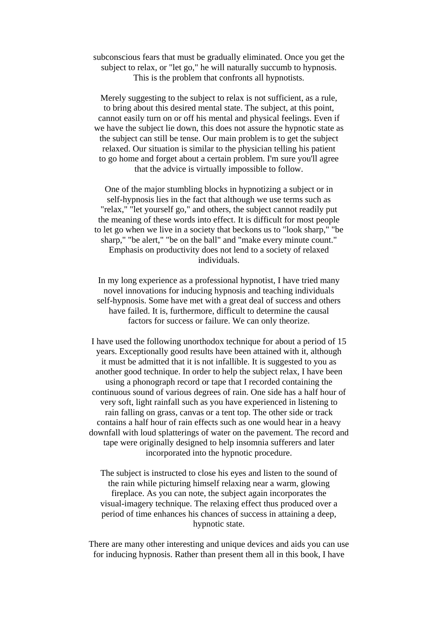subconscious fears that must be gradually eliminated. Once you get the subject to relax, or "let go," he will naturally succumb to hypnosis. This is the problem that confronts all hypnotists.

Merely suggesting to the subject to relax is not sufficient, as a rule, to bring about this desired mental state. The subject, at this point, cannot easily turn on or off his mental and physical feelings. Even if we have the subject lie down, this does not assure the hypnotic state as the subject can still be tense. Our main problem is to get the subject relaxed. Our situation is similar to the physician telling his patient to go home and forget about a certain problem. I'm sure you'll agree that the advice is virtually impossible to follow.

One of the major stumbling blocks in hypnotizing a subject or in self-hypnosis lies in the fact that although we use terms such as "relax," "let yourself go," and others, the subject cannot readily put the meaning of these words into effect. It is difficult for most people to let go when we live in a society that beckons us to "look sharp," "be sharp," "be alert," "be on the ball" and "make every minute count." Emphasis on productivity does not lend to a society of relaxed individuals.

In my long experience as a professional hypnotist, I have tried many novel innovations for inducing hypnosis and teaching individuals self-hypnosis. Some have met with a great deal of success and others have failed. It is, furthermore, difficult to determine the causal factors for success or failure. We can only theorize.

I have used the following unorthodox technique for about a period of 15 years. Exceptionally good results have been attained with it, although it must be admitted that it is not infallible. It is suggested to you as another good technique. In order to help the subject relax, I have been using a phonograph record or tape that I recorded containing the continuous sound of various degrees of rain. One side has a half hour of very soft, light rainfall such as you have experienced in listening to rain falling on grass, canvas or a tent top. The other side or track contains a half hour of rain effects such as one would hear in a heavy downfall with loud splatterings of water on the pavement. The record and tape were originally designed to help insomnia sufferers and later incorporated into the hypnotic procedure.

The subject is instructed to close his eyes and listen to the sound of the rain while picturing himself relaxing near a warm, glowing fireplace. As you can note, the subject again incorporates the visual-imagery technique. The relaxing effect thus produced over a period of time enhances his chances of success in attaining a deep, hypnotic state.

There are many other interesting and unique devices and aids you can use for inducing hypnosis. Rather than present them all in this book, I have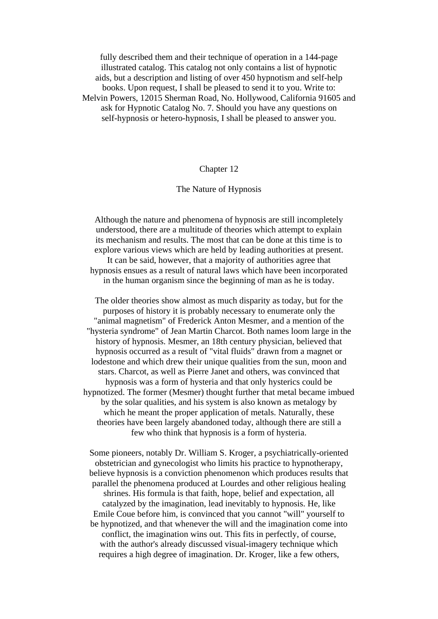fully described them and their technique of operation in a 144-page illustrated catalog. This catalog not only contains a list of hypnotic aids, but a description and listing of over 450 hypnotism and self-help books. Upon request, I shall be pleased to send it to you. Write to: Melvin Powers, 12015 Sherman Road, No. Hollywood, California 91605 and ask for Hypnotic Catalog No. 7. Should you have any questions on self-hypnosis or hetero-hypnosis, I shall be pleased to answer you.

## Chapter 12

## The Nature of Hypnosis

Although the nature and phenomena of hypnosis are still incompletely understood, there are a multitude of theories which attempt to explain its mechanism and results. The most that can be done at this time is to explore various views which are held by leading authorities at present. It can be said, however, that a majority of authorities agree that hypnosis ensues as a result of natural laws which have been incorporated in the human organism since the beginning of man as he is today.

The older theories show almost as much disparity as today, but for the purposes of history it is probably necessary to enumerate only the "animal magnetism" of Frederick Anton Mesmer, and a mention of the "hysteria syndrome" of Jean Martin Charcot. Both names loom large in the history of hypnosis. Mesmer, an 18th century physician, believed that hypnosis occurred as a result of "vital fluids" drawn from a magnet or lodestone and which drew their unique qualities from the sun, moon and stars. Charcot, as well as Pierre Janet and others, was convinced that hypnosis was a form of hysteria and that only hysterics could be hypnotized. The former (Mesmer) thought further that metal became imbued by the solar qualities, and his system is also known as metalogy by which he meant the proper application of metals. Naturally, these theories have been largely abandoned today, although there are still a few who think that hypnosis is a form of hysteria.

Some pioneers, notably Dr. William S. Kroger, a psychiatrically-oriented obstetrician and gynecologist who limits his practice to hypnotherapy, believe hypnosis is a conviction phenomenon which produces results that parallel the phenomena produced at Lourdes and other religious healing shrines. His formula is that faith, hope, belief and expectation, all catalyzed by the imagination, lead inevitably to hypnosis. He, like Emile Coue before him, is convinced that you cannot "will" yourself to be hypnotized, and that whenever the will and the imagination come into conflict, the imagination wins out. This fits in perfectly, of course, with the author's already discussed visual-imagery technique which requires a high degree of imagination. Dr. Kroger, like a few others,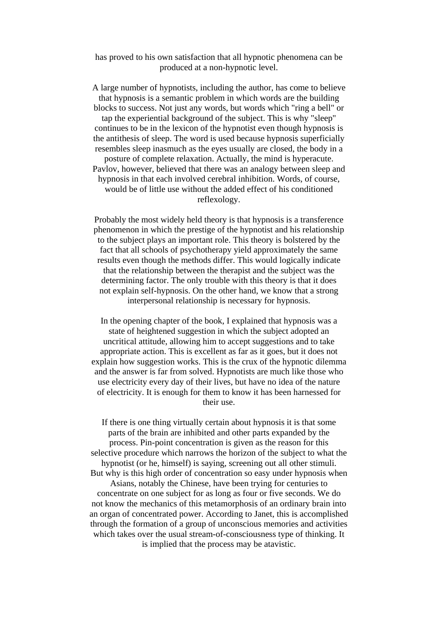has proved to his own satisfaction that all hypnotic phenomena can be produced at a non-hypnotic level.

A large number of hypnotists, including the author, has come to believe that hypnosis is a semantic problem in which words are the building blocks to success. Not just any words, but words which "ring a bell" or tap the experiential background of the subject. This is why "sleep" continues to be in the lexicon of the hypnotist even though hypnosis is the antithesis of sleep. The word is used because hypnosis superficially resembles sleep inasmuch as the eyes usually are closed, the body in a posture of complete relaxation. Actually, the mind is hyperacute. Pavlov, however, believed that there was an analogy between sleep and hypnosis in that each involved cerebral inhibition. Words, of course, would be of little use without the added effect of his conditioned reflexology.

Probably the most widely held theory is that hypnosis is a transference phenomenon in which the prestige of the hypnotist and his relationship to the subject plays an important role. This theory is bolstered by the fact that all schools of psychotherapy yield approximately the same results even though the methods differ. This would logically indicate that the relationship between the therapist and the subject was the determining factor. The only trouble with this theory is that it does not explain self-hypnosis. On the other hand, we know that a strong interpersonal relationship is necessary for hypnosis.

In the opening chapter of the book, I explained that hypnosis was a state of heightened suggestion in which the subject adopted an uncritical attitude, allowing him to accept suggestions and to take appropriate action. This is excellent as far as it goes, but it does not explain how suggestion works. This is the crux of the hypnotic dilemma and the answer is far from solved. Hypnotists are much like those who use electricity every day of their lives, but have no idea of the nature of electricity. It is enough for them to know it has been harnessed for their use.

If there is one thing virtually certain about hypnosis it is that some parts of the brain are inhibited and other parts expanded by the process. Pin-point concentration is given as the reason for this selective procedure which narrows the horizon of the subject to what the hypnotist (or he, himself) is saying, screening out all other stimuli. But why is this high order of concentration so easy under hypnosis when Asians, notably the Chinese, have been trying for centuries to concentrate on one subject for as long as four or five seconds. We do not know the mechanics of this metamorphosis of an ordinary brain into an organ of concentrated power. According to Janet, this is accomplished through the formation of a group of unconscious memories and activities which takes over the usual stream-of-consciousness type of thinking. It is implied that the process may be atavistic.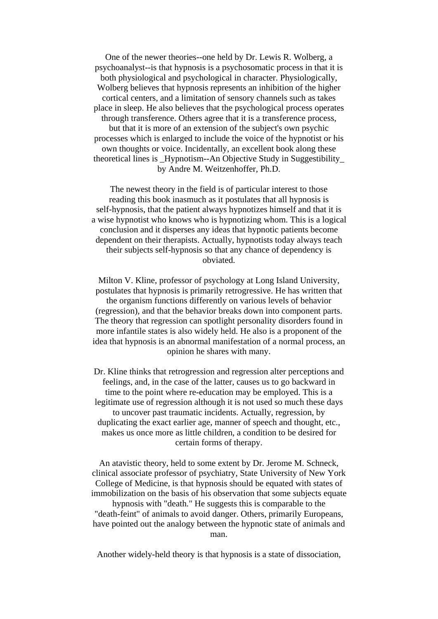One of the newer theories--one held by Dr. Lewis R. Wolberg, a psychoanalyst--is that hypnosis is a psychosomatic process in that it is both physiological and psychological in character. Physiologically, Wolberg believes that hypnosis represents an inhibition of the higher cortical centers, and a limitation of sensory channels such as takes place in sleep. He also believes that the psychological process operates through transference. Others agree that it is a transference process, but that it is more of an extension of the subject's own psychic processes which is enlarged to include the voice of the hypnotist or his own thoughts or voice. Incidentally, an excellent book along these theoretical lines is \_Hypnotism--An Objective Study in Suggestibility\_ by Andre M. Weitzenhoffer, Ph.D.

The newest theory in the field is of particular interest to those reading this book inasmuch as it postulates that all hypnosis is self-hypnosis, that the patient always hypnotizes himself and that it is a wise hypnotist who knows who is hypnotizing whom. This is a logical conclusion and it disperses any ideas that hypnotic patients become dependent on their therapists. Actually, hypnotists today always teach their subjects self-hypnosis so that any chance of dependency is obviated.

Milton V. Kline, professor of psychology at Long Island University, postulates that hypnosis is primarily retrogressive. He has written that the organism functions differently on various levels of behavior (regression), and that the behavior breaks down into component parts. The theory that regression can spotlight personality disorders found in more infantile states is also widely held. He also is a proponent of the idea that hypnosis is an abnormal manifestation of a normal process, an opinion he shares with many.

Dr. Kline thinks that retrogression and regression alter perceptions and feelings, and, in the case of the latter, causes us to go backward in time to the point where re-education may be employed. This is a legitimate use of regression although it is not used so much these days to uncover past traumatic incidents. Actually, regression, by duplicating the exact earlier age, manner of speech and thought, etc., makes us once more as little children, a condition to be desired for certain forms of therapy.

An atavistic theory, held to some extent by Dr. Jerome M. Schneck, clinical associate professor of psychiatry, State University of New York College of Medicine, is that hypnosis should be equated with states of immobilization on the basis of his observation that some subjects equate

hypnosis with "death." He suggests this is comparable to the "death-feint" of animals to avoid danger. Others, primarily Europeans, have pointed out the analogy between the hypnotic state of animals and man.

Another widely-held theory is that hypnosis is a state of dissociation,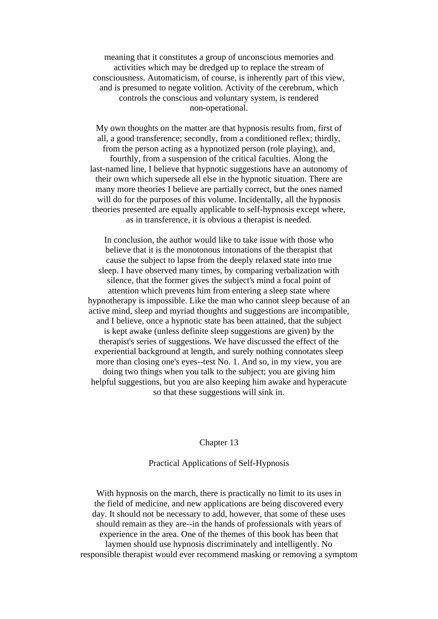meaning that it constitutes a group of unconscious memories and activities which may be dredged up to replace the stream of consciousness. Automaticism, of course, is inherently part of this view, and is presumed to negate volition. Activity of the cerebrum, which controls the conscious and voluntary system, is rendered non-operational.

My own thoughts on the matter are that hypnosis results from, first of all, a good transference; secondly, from a conditioned reflex; thirdly, from the person acting as a hypnotized person (role playing), and, fourthly, from a suspension of the critical faculties. Along the last-named line, I believe that hypnotic suggestions have an autonomy of their own which supersede all else in the hypnotic situation. There are many more theories I believe are partially correct, but the ones named will do for the purposes of this volume. Incidentally, all the hypnosis theories presented are equally applicable to self-hypnosis except where, as in transference, it is obvious a therapist is needed.

In conclusion, the author would like to take issue with those who believe that it is the monotonous intonations of the therapist that cause the subject to lapse from the deeply relaxed state into true sleep. I have observed many times, by comparing verbalization with silence, that the former gives the subject's mind a focal point of attention which prevents him from entering a sleep state where hypnotherapy is impossible. Like the man who cannot sleep because of an active mind, sleep and myriad thoughts and suggestions are incompatible, and I believe, once a hypnotic state has been attained, that the subject is kept awake (unless definite sleep suggestions are given) by the therapist's series of suggestions. We have discussed the effect of the experiential background at length, and surely nothing connotates sleep more than closing one's eyes--test No. 1. And so, in my view, you are doing two things when you talk to the subject; you are giving him helpful suggestions, but you are also keeping him awake and hyperacute so that these suggestions will sink in.

## Chapter 13

# Practical Applications of Self-Hypnosis

With hypnosis on the march, there is practically no limit to its uses in the field of medicine, and new applications are being discovered every day. It should not be necessary to add, however, that some of these uses should remain as they are--in the hands of professionals with years of experience in the area. One of the themes of this book has been that laymen should use hypnosis discriminately and intelligently. No responsible therapist would ever recommend masking or removing a symptom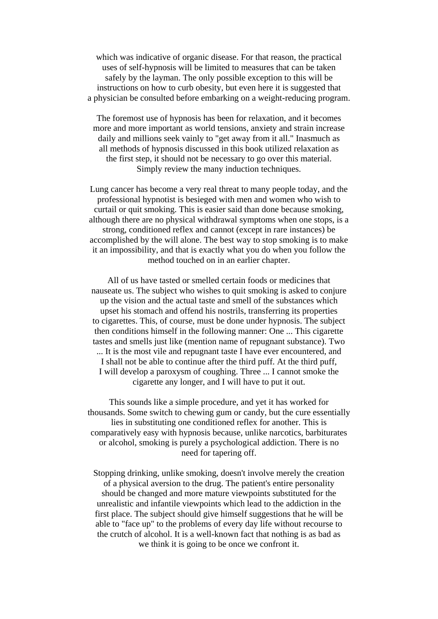which was indicative of organic disease. For that reason, the practical uses of self-hypnosis will be limited to measures that can be taken safely by the layman. The only possible exception to this will be instructions on how to curb obesity, but even here it is suggested that a physician be consulted before embarking on a weight-reducing program.

The foremost use of hypnosis has been for relaxation, and it becomes more and more important as world tensions, anxiety and strain increase daily and millions seek vainly to "get away from it all." Inasmuch as all methods of hypnosis discussed in this book utilized relaxation as the first step, it should not be necessary to go over this material. Simply review the many induction techniques.

Lung cancer has become a very real threat to many people today, and the professional hypnotist is besieged with men and women who wish to curtail or quit smoking. This is easier said than done because smoking, although there are no physical withdrawal symptoms when one stops, is a strong, conditioned reflex and cannot (except in rare instances) be accomplished by the will alone. The best way to stop smoking is to make it an impossibility, and that is exactly what you do when you follow the method touched on in an earlier chapter.

All of us have tasted or smelled certain foods or medicines that nauseate us. The subject who wishes to quit smoking is asked to conjure up the vision and the actual taste and smell of the substances which upset his stomach and offend his nostrils, transferring its properties to cigarettes. This, of course, must be done under hypnosis. The subject then conditions himself in the following manner: One ... This cigarette tastes and smells just like (mention name of repugnant substance). Two ... It is the most vile and repugnant taste I have ever encountered, and I shall not be able to continue after the third puff. At the third puff, I will develop a paroxysm of coughing. Three ... I cannot smoke the cigarette any longer, and I will have to put it out.

This sounds like a simple procedure, and yet it has worked for thousands. Some switch to chewing gum or candy, but the cure essentially lies in substituting one conditioned reflex for another. This is comparatively easy with hypnosis because, unlike narcotics, barbiturates or alcohol, smoking is purely a psychological addiction. There is no need for tapering off.

Stopping drinking, unlike smoking, doesn't involve merely the creation of a physical aversion to the drug. The patient's entire personality should be changed and more mature viewpoints substituted for the unrealistic and infantile viewpoints which lead to the addiction in the first place. The subject should give himself suggestions that he will be able to "face up" to the problems of every day life without recourse to the crutch of alcohol. It is a well-known fact that nothing is as bad as we think it is going to be once we confront it.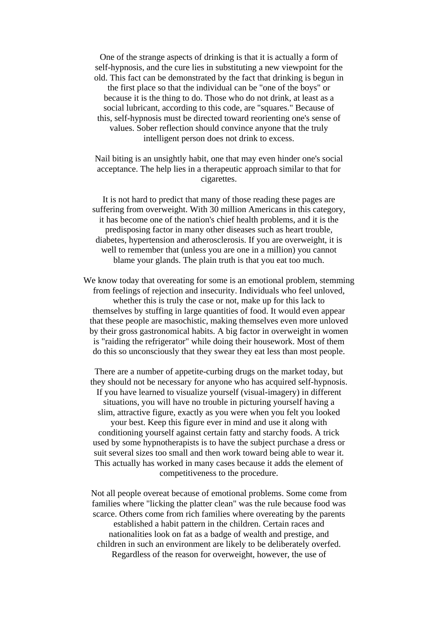One of the strange aspects of drinking is that it is actually a form of self-hypnosis, and the cure lies in substituting a new viewpoint for the old. This fact can be demonstrated by the fact that drinking is begun in the first place so that the individual can be "one of the boys" or because it is the thing to do. Those who do not drink, at least as a social lubricant, according to this code, are "squares." Because of this, self-hypnosis must be directed toward reorienting one's sense of values. Sober reflection should convince anyone that the truly intelligent person does not drink to excess.

Nail biting is an unsightly habit, one that may even hinder one's social acceptance. The help lies in a therapeutic approach similar to that for cigarettes.

It is not hard to predict that many of those reading these pages are suffering from overweight. With 30 million Americans in this category, it has become one of the nation's chief health problems, and it is the predisposing factor in many other diseases such as heart trouble, diabetes, hypertension and atherosclerosis. If you are overweight, it is well to remember that (unless you are one in a million) you cannot blame your glands. The plain truth is that you eat too much.

We know today that overeating for some is an emotional problem, stemming from feelings of rejection and insecurity. Individuals who feel unloved, whether this is truly the case or not, make up for this lack to themselves by stuffing in large quantities of food. It would even appear that these people are masochistic, making themselves even more unloved by their gross gastronomical habits. A big factor in overweight in women is "raiding the refrigerator" while doing their housework. Most of them do this so unconsciously that they swear they eat less than most people.

There are a number of appetite-curbing drugs on the market today, but they should not be necessary for anyone who has acquired self-hypnosis. If you have learned to visualize yourself (visual-imagery) in different situations, you will have no trouble in picturing yourself having a slim, attractive figure, exactly as you were when you felt you looked your best. Keep this figure ever in mind and use it along with conditioning yourself against certain fatty and starchy foods. A trick used by some hypnotherapists is to have the subject purchase a dress or suit several sizes too small and then work toward being able to wear it. This actually has worked in many cases because it adds the element of competitiveness to the procedure.

Not all people overeat because of emotional problems. Some come from families where "licking the platter clean" was the rule because food was scarce. Others come from rich families where overeating by the parents established a habit pattern in the children. Certain races and nationalities look on fat as a badge of wealth and prestige, and children in such an environment are likely to be deliberately overfed. Regardless of the reason for overweight, however, the use of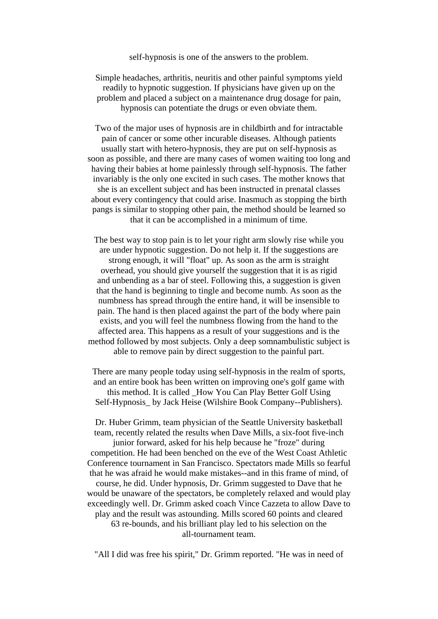self-hypnosis is one of the answers to the problem.

Simple headaches, arthritis, neuritis and other painful symptoms yield readily to hypnotic suggestion. If physicians have given up on the problem and placed a subject on a maintenance drug dosage for pain, hypnosis can potentiate the drugs or even obviate them.

Two of the major uses of hypnosis are in childbirth and for intractable pain of cancer or some other incurable diseases. Although patients usually start with hetero-hypnosis, they are put on self-hypnosis as soon as possible, and there are many cases of women waiting too long and having their babies at home painlessly through self-hypnosis. The father invariably is the only one excited in such cases. The mother knows that she is an excellent subject and has been instructed in prenatal classes about every contingency that could arise. Inasmuch as stopping the birth pangs is similar to stopping other pain, the method should be learned so that it can be accomplished in a minimum of time.

The best way to stop pain is to let your right arm slowly rise while you are under hypnotic suggestion. Do not help it. If the suggestions are strong enough, it will "float" up. As soon as the arm is straight overhead, you should give yourself the suggestion that it is as rigid and unbending as a bar of steel. Following this, a suggestion is given that the hand is beginning to tingle and become numb. As soon as the numbness has spread through the entire hand, it will be insensible to pain. The hand is then placed against the part of the body where pain exists, and you will feel the numbness flowing from the hand to the affected area. This happens as a result of your suggestions and is the method followed by most subjects. Only a deep somnambulistic subject is able to remove pain by direct suggestion to the painful part.

There are many people today using self-hypnosis in the realm of sports, and an entire book has been written on improving one's golf game with this method. It is called \_How You Can Play Better Golf Using Self-Hypnosis\_ by Jack Heise (Wilshire Book Company--Publishers).

Dr. Huber Grimm, team physician of the Seattle University basketball team, recently related the results when Dave Mills, a six-foot five-inch junior forward, asked for his help because he "froze" during competition. He had been benched on the eve of the West Coast Athletic Conference tournament in San Francisco. Spectators made Mills so fearful that he was afraid he would make mistakes--and in this frame of mind, of course, he did. Under hypnosis, Dr. Grimm suggested to Dave that he would be unaware of the spectators, be completely relaxed and would play exceedingly well. Dr. Grimm asked coach Vince Cazzeta to allow Dave to play and the result was astounding. Mills scored 60 points and cleared 63 re-bounds, and his brilliant play led to his selection on the all-tournament team.

"All I did was free his spirit," Dr. Grimm reported. "He was in need of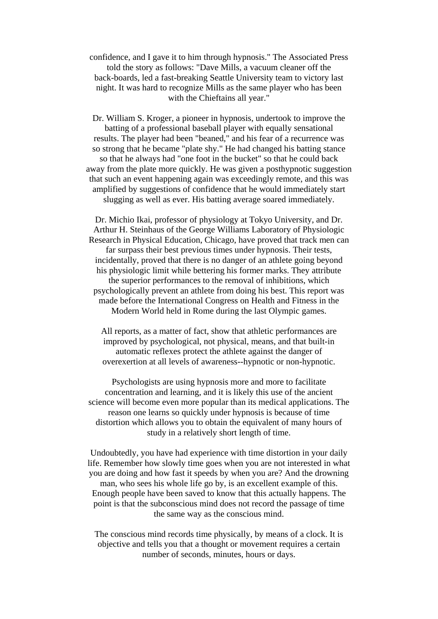confidence, and I gave it to him through hypnosis." The Associated Press told the story as follows: "Dave Mills, a vacuum cleaner off the back-boards, led a fast-breaking Seattle University team to victory last night. It was hard to recognize Mills as the same player who has been with the Chieftains all year."

Dr. William S. Kroger, a pioneer in hypnosis, undertook to improve the batting of a professional baseball player with equally sensational results. The player had been "beaned," and his fear of a recurrence was so strong that he became "plate shy." He had changed his batting stance so that he always had "one foot in the bucket" so that he could back away from the plate more quickly. He was given a posthypnotic suggestion that such an event happening again was exceedingly remote, and this was amplified by suggestions of confidence that he would immediately start slugging as well as ever. His batting average soared immediately.

Dr. Michio Ikai, professor of physiology at Tokyo University, and Dr. Arthur H. Steinhaus of the George Williams Laboratory of Physiologic Research in Physical Education, Chicago, have proved that track men can far surpass their best previous times under hypnosis. Their tests, incidentally, proved that there is no danger of an athlete going beyond his physiologic limit while bettering his former marks. They attribute the superior performances to the removal of inhibitions, which psychologically prevent an athlete from doing his best. This report was made before the International Congress on Health and Fitness in the Modern World held in Rome during the last Olympic games.

All reports, as a matter of fact, show that athletic performances are improved by psychological, not physical, means, and that built-in automatic reflexes protect the athlete against the danger of overexertion at all levels of awareness--hypnotic or non-hypnotic.

Psychologists are using hypnosis more and more to facilitate concentration and learning, and it is likely this use of the ancient science will become even more popular than its medical applications. The reason one learns so quickly under hypnosis is because of time distortion which allows you to obtain the equivalent of many hours of study in a relatively short length of time.

Undoubtedly, you have had experience with time distortion in your daily life. Remember how slowly time goes when you are not interested in what you are doing and how fast it speeds by when you are? And the drowning man, who sees his whole life go by, is an excellent example of this. Enough people have been saved to know that this actually happens. The point is that the subconscious mind does not record the passage of time the same way as the conscious mind.

The conscious mind records time physically, by means of a clock. It is objective and tells you that a thought or movement requires a certain number of seconds, minutes, hours or days.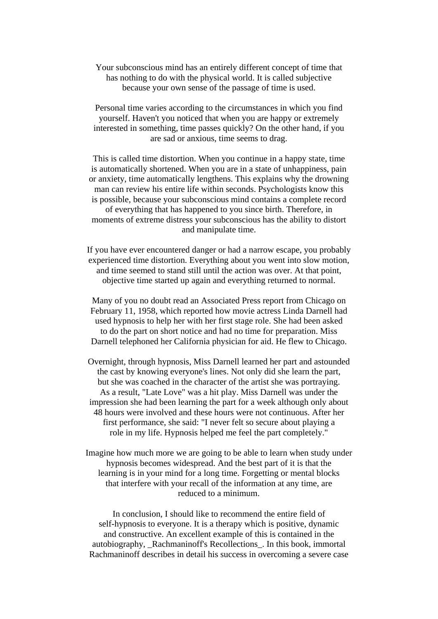Your subconscious mind has an entirely different concept of time that has nothing to do with the physical world. It is called subjective because your own sense of the passage of time is used.

Personal time varies according to the circumstances in which you find yourself. Haven't you noticed that when you are happy or extremely interested in something, time passes quickly? On the other hand, if you are sad or anxious, time seems to drag.

This is called time distortion. When you continue in a happy state, time is automatically shortened. When you are in a state of unhappiness, pain or anxiety, time automatically lengthens. This explains why the drowning man can review his entire life within seconds. Psychologists know this is possible, because your subconscious mind contains a complete record of everything that has happened to you since birth. Therefore, in moments of extreme distress your subconscious has the ability to distort and manipulate time.

If you have ever encountered danger or had a narrow escape, you probably experienced time distortion. Everything about you went into slow motion, and time seemed to stand still until the action was over. At that point, objective time started up again and everything returned to normal.

Many of you no doubt read an Associated Press report from Chicago on February 11, 1958, which reported how movie actress Linda Darnell had used hypnosis to help her with her first stage role. She had been asked to do the part on short notice and had no time for preparation. Miss Darnell telephoned her California physician for aid. He flew to Chicago.

Overnight, through hypnosis, Miss Darnell learned her part and astounded the cast by knowing everyone's lines. Not only did she learn the part, but she was coached in the character of the artist she was portraying. As a result, "Late Love" was a hit play. Miss Darnell was under the impression she had been learning the part for a week although only about 48 hours were involved and these hours were not continuous. After her first performance, she said: "I never felt so secure about playing a role in my life. Hypnosis helped me feel the part completely."

Imagine how much more we are going to be able to learn when study under hypnosis becomes widespread. And the best part of it is that the learning is in your mind for a long time. Forgetting or mental blocks that interfere with your recall of the information at any time, are reduced to a minimum.

In conclusion, I should like to recommend the entire field of self-hypnosis to everyone. It is a therapy which is positive, dynamic and constructive. An excellent example of this is contained in the autobiography, \_Rachmaninoff's Recollections\_. In this book, immortal Rachmaninoff describes in detail his success in overcoming a severe case